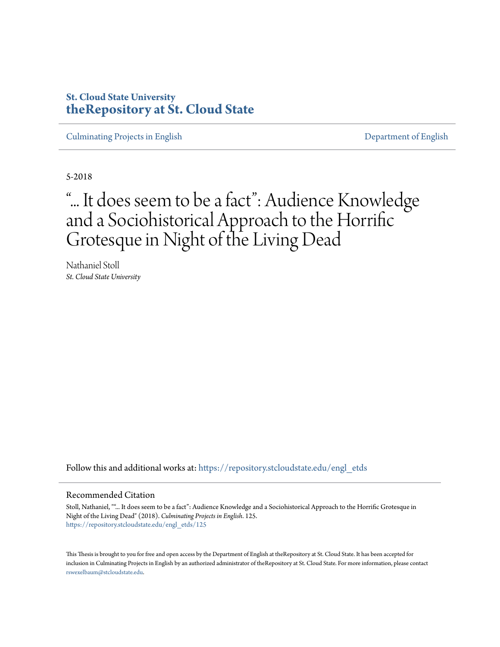## **St. Cloud State University [theRepository at St. Cloud State](https://repository.stcloudstate.edu?utm_source=repository.stcloudstate.edu%2Fengl_etds%2F125&utm_medium=PDF&utm_campaign=PDFCoverPages)**

[Culminating Projects in English](https://repository.stcloudstate.edu/engl_etds?utm_source=repository.stcloudstate.edu%2Fengl_etds%2F125&utm_medium=PDF&utm_campaign=PDFCoverPages) [Department of English](https://repository.stcloudstate.edu/engl?utm_source=repository.stcloudstate.edu%2Fengl_etds%2F125&utm_medium=PDF&utm_campaign=PDFCoverPages)

5-2018

# "... It does seem to be a fact": Audience Knowledge and a Sociohistorical Approach to the Horrific Grotesque in Night of the Living Dead

Nathaniel Stoll *St. Cloud State University*

Follow this and additional works at: [https://repository.stcloudstate.edu/engl\\_etds](https://repository.stcloudstate.edu/engl_etds?utm_source=repository.stcloudstate.edu%2Fengl_etds%2F125&utm_medium=PDF&utm_campaign=PDFCoverPages)

#### Recommended Citation

Stoll, Nathaniel, ""... It does seem to be a fact": Audience Knowledge and a Sociohistorical Approach to the Horrific Grotesque in Night of the Living Dead" (2018). *Culminating Projects in English*. 125. [https://repository.stcloudstate.edu/engl\\_etds/125](https://repository.stcloudstate.edu/engl_etds/125?utm_source=repository.stcloudstate.edu%2Fengl_etds%2F125&utm_medium=PDF&utm_campaign=PDFCoverPages)

This Thesis is brought to you for free and open access by the Department of English at theRepository at St. Cloud State. It has been accepted for inclusion in Culminating Projects in English by an authorized administrator of theRepository at St. Cloud State. For more information, please contact [rswexelbaum@stcloudstate.edu](mailto:rswexelbaum@stcloudstate.edu).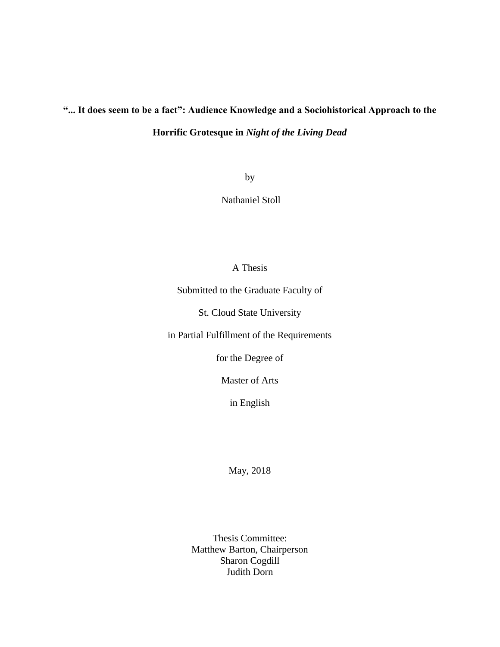## **"... It does seem to be a fact": Audience Knowledge and a Sociohistorical Approach to the Horrific Grotesque in** *Night of the Living Dead*

by

Nathaniel Stoll

### A Thesis

Submitted to the Graduate Faculty of

St. Cloud State University

in Partial Fulfillment of the Requirements

for the Degree of

Master of Arts

in English

May, 2018

Thesis Committee: Matthew Barton, Chairperson Sharon Cogdill Judith Dorn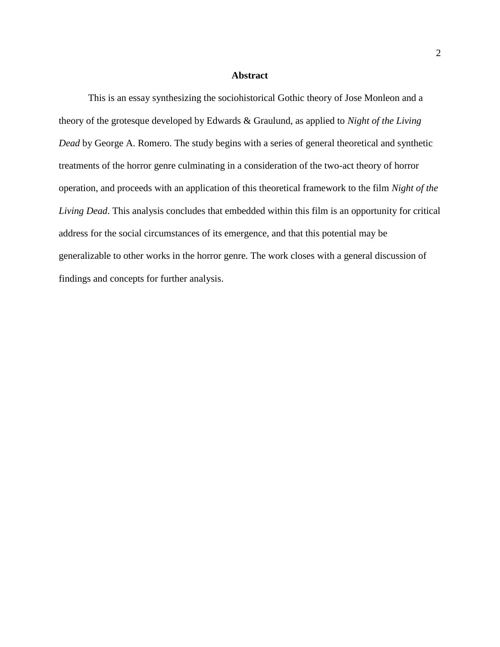#### **Abstract**

This is an essay synthesizing the sociohistorical Gothic theory of Jose Monleon and a theory of the grotesque developed by Edwards & Graulund, as applied to *Night of the Living Dead* by George A. Romero. The study begins with a series of general theoretical and synthetic treatments of the horror genre culminating in a consideration of the two-act theory of horror operation, and proceeds with an application of this theoretical framework to the film *Night of the Living Dead*. This analysis concludes that embedded within this film is an opportunity for critical address for the social circumstances of its emergence, and that this potential may be generalizable to other works in the horror genre. The work closes with a general discussion of findings and concepts for further analysis.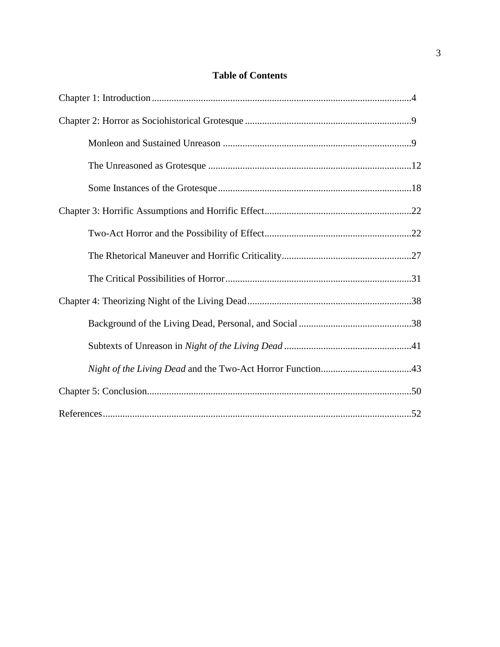## **Table of Contents**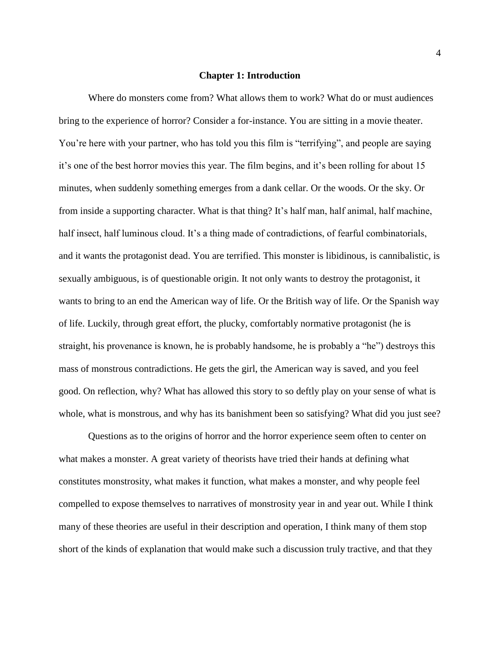#### **Chapter 1: Introduction**

Where do monsters come from? What allows them to work? What do or must audiences bring to the experience of horror? Consider a for-instance. You are sitting in a movie theater. You're here with your partner, who has told you this film is "terrifying", and people are saying it's one of the best horror movies this year. The film begins, and it's been rolling for about 15 minutes, when suddenly something emerges from a dank cellar. Or the woods. Or the sky. Or from inside a supporting character. What is that thing? It's half man, half animal, half machine, half insect, half luminous cloud. It's a thing made of contradictions, of fearful combinatorials, and it wants the protagonist dead. You are terrified. This monster is libidinous, is cannibalistic, is sexually ambiguous, is of questionable origin. It not only wants to destroy the protagonist, it wants to bring to an end the American way of life. Or the British way of life. Or the Spanish way of life. Luckily, through great effort, the plucky, comfortably normative protagonist (he is straight, his provenance is known, he is probably handsome, he is probably a "he") destroys this mass of monstrous contradictions. He gets the girl, the American way is saved, and you feel good. On reflection, why? What has allowed this story to so deftly play on your sense of what is whole, what is monstrous, and why has its banishment been so satisfying? What did you just see?

Questions as to the origins of horror and the horror experience seem often to center on what makes a monster. A great variety of theorists have tried their hands at defining what constitutes monstrosity, what makes it function, what makes a monster, and why people feel compelled to expose themselves to narratives of monstrosity year in and year out. While I think many of these theories are useful in their description and operation, I think many of them stop short of the kinds of explanation that would make such a discussion truly tractive, and that they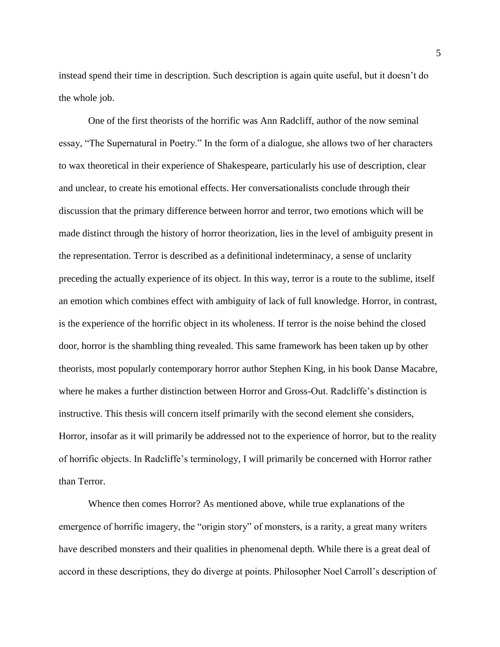instead spend their time in description. Such description is again quite useful, but it doesn't do the whole job.

One of the first theorists of the horrific was Ann Radcliff, author of the now seminal essay, "The Supernatural in Poetry." In the form of a dialogue, she allows two of her characters to wax theoretical in their experience of Shakespeare, particularly his use of description, clear and unclear, to create his emotional effects. Her conversationalists conclude through their discussion that the primary difference between horror and terror, two emotions which will be made distinct through the history of horror theorization, lies in the level of ambiguity present in the representation. Terror is described as a definitional indeterminacy, a sense of unclarity preceding the actually experience of its object. In this way, terror is a route to the sublime, itself an emotion which combines effect with ambiguity of lack of full knowledge. Horror, in contrast, is the experience of the horrific object in its wholeness. If terror is the noise behind the closed door, horror is the shambling thing revealed. This same framework has been taken up by other theorists, most popularly contemporary horror author Stephen King, in his book Danse Macabre, where he makes a further distinction between Horror and Gross-Out. Radcliffe's distinction is instructive. This thesis will concern itself primarily with the second element she considers, Horror, insofar as it will primarily be addressed not to the experience of horror, but to the reality of horrific objects. In Radcliffe's terminology, I will primarily be concerned with Horror rather than Terror.

Whence then comes Horror? As mentioned above, while true explanations of the emergence of horrific imagery, the "origin story" of monsters, is a rarity, a great many writers have described monsters and their qualities in phenomenal depth. While there is a great deal of accord in these descriptions, they do diverge at points. Philosopher Noel Carroll's description of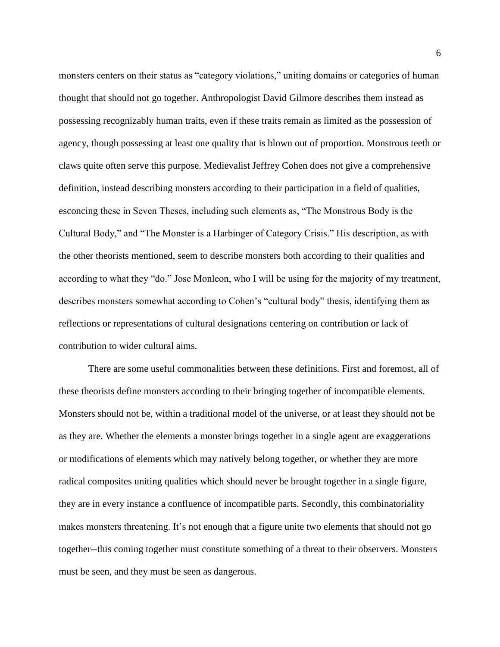monsters centers on their status as "category violations," uniting domains or categories of human thought that should not go together. Anthropologist David Gilmore describes them instead as possessing recognizably human traits, even if these traits remain as limited as the possession of agency, though possessing at least one quality that is blown out of proportion. Monstrous teeth or claws quite often serve this purpose. Medievalist Jeffrey Cohen does not give a comprehensive definition, instead describing monsters according to their participation in a field of qualities, esconcing these in Seven Theses, including such elements as, "The Monstrous Body is the Cultural Body," and "The Monster is a Harbinger of Category Crisis." His description, as with the other theorists mentioned, seem to describe monsters both according to their qualities and according to what they "do." Jose Monleon, who I will be using for the majority of my treatment, describes monsters somewhat according to Cohen's "cultural body" thesis, identifying them as reflections or representations of cultural designations centering on contribution or lack of contribution to wider cultural aims.

There are some useful commonalities between these definitions. First and foremost, all of these theorists define monsters according to their bringing together of incompatible elements. Monsters should not be, within a traditional model of the universe, or at least they should not be as they are. Whether the elements a monster brings together in a single agent are exaggerations or modifications of elements which may natively belong together, or whether they are more radical composites uniting qualities which should never be brought together in a single figure, they are in every instance a confluence of incompatible parts. Secondly, this combinatoriality makes monsters threatening. It's not enough that a figure unite two elements that should not go together--this coming together must constitute something of a threat to their observers. Monsters must be seen, and they must be seen as dangerous.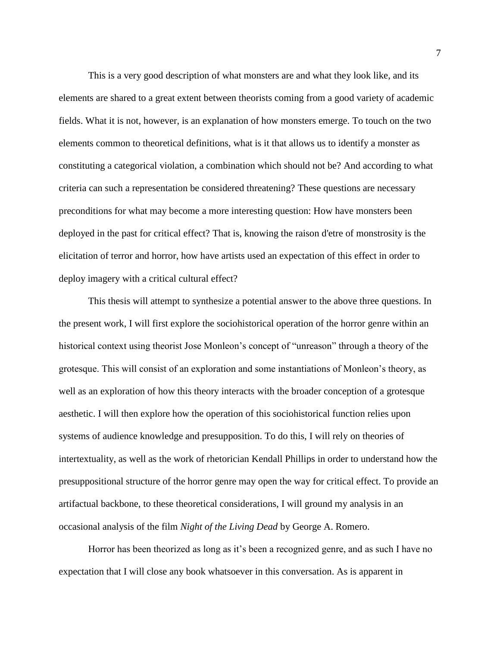This is a very good description of what monsters are and what they look like, and its elements are shared to a great extent between theorists coming from a good variety of academic fields. What it is not, however, is an explanation of how monsters emerge. To touch on the two elements common to theoretical definitions, what is it that allows us to identify a monster as constituting a categorical violation, a combination which should not be? And according to what criteria can such a representation be considered threatening? These questions are necessary preconditions for what may become a more interesting question: How have monsters been deployed in the past for critical effect? That is, knowing the raison d'etre of monstrosity is the elicitation of terror and horror, how have artists used an expectation of this effect in order to deploy imagery with a critical cultural effect?

This thesis will attempt to synthesize a potential answer to the above three questions. In the present work, I will first explore the sociohistorical operation of the horror genre within an historical context using theorist Jose Monleon's concept of "unreason" through a theory of the grotesque. This will consist of an exploration and some instantiations of Monleon's theory, as well as an exploration of how this theory interacts with the broader conception of a grotesque aesthetic. I will then explore how the operation of this sociohistorical function relies upon systems of audience knowledge and presupposition. To do this, I will rely on theories of intertextuality, as well as the work of rhetorician Kendall Phillips in order to understand how the presuppositional structure of the horror genre may open the way for critical effect. To provide an artifactual backbone, to these theoretical considerations, I will ground my analysis in an occasional analysis of the film *Night of the Living Dead* by George A. Romero.

Horror has been theorized as long as it's been a recognized genre, and as such I have no expectation that I will close any book whatsoever in this conversation. As is apparent in

7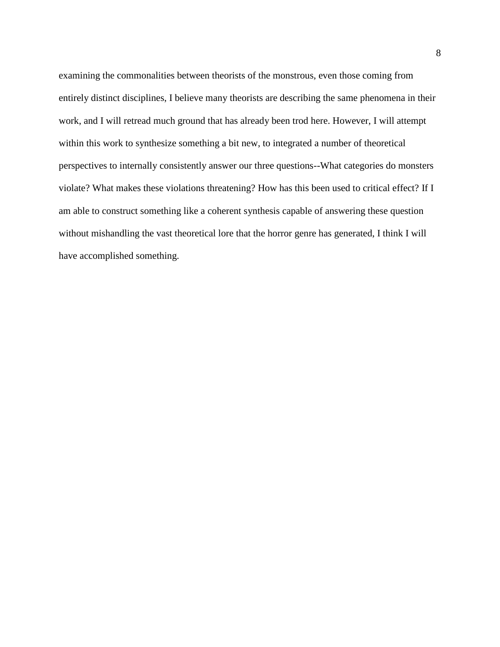examining the commonalities between theorists of the monstrous, even those coming from entirely distinct disciplines, I believe many theorists are describing the same phenomena in their work, and I will retread much ground that has already been trod here. However, I will attempt within this work to synthesize something a bit new, to integrated a number of theoretical perspectives to internally consistently answer our three questions--What categories do monsters violate? What makes these violations threatening? How has this been used to critical effect? If I am able to construct something like a coherent synthesis capable of answering these question without mishandling the vast theoretical lore that the horror genre has generated, I think I will have accomplished something.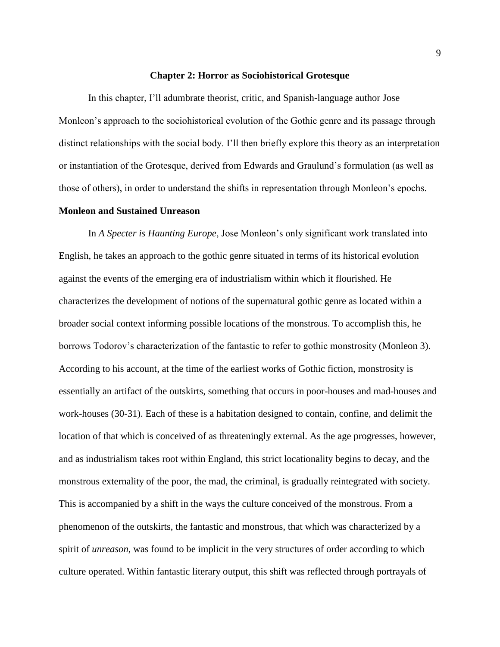#### **Chapter 2: Horror as Sociohistorical Grotesque**

In this chapter, I'll adumbrate theorist, critic, and Spanish-language author Jose Monleon's approach to the sociohistorical evolution of the Gothic genre and its passage through distinct relationships with the social body. I'll then briefly explore this theory as an interpretation or instantiation of the Grotesque, derived from Edwards and Graulund's formulation (as well as those of others), in order to understand the shifts in representation through Monleon's epochs.

#### **Monleon and Sustained Unreason**

In *A Specter is Haunting Europe*, Jose Monleon's only significant work translated into English, he takes an approach to the gothic genre situated in terms of its historical evolution against the events of the emerging era of industrialism within which it flourished. He characterizes the development of notions of the supernatural gothic genre as located within a broader social context informing possible locations of the monstrous. To accomplish this, he borrows Todorov's characterization of the fantastic to refer to gothic monstrosity (Monleon 3). According to his account, at the time of the earliest works of Gothic fiction, monstrosity is essentially an artifact of the outskirts, something that occurs in poor-houses and mad-houses and work-houses (30-31). Each of these is a habitation designed to contain, confine, and delimit the location of that which is conceived of as threateningly external. As the age progresses, however, and as industrialism takes root within England, this strict locationality begins to decay, and the monstrous externality of the poor, the mad, the criminal, is gradually reintegrated with society. This is accompanied by a shift in the ways the culture conceived of the monstrous. From a phenomenon of the outskirts, the fantastic and monstrous, that which was characterized by a spirit of *unreason*, was found to be implicit in the very structures of order according to which culture operated. Within fantastic literary output, this shift was reflected through portrayals of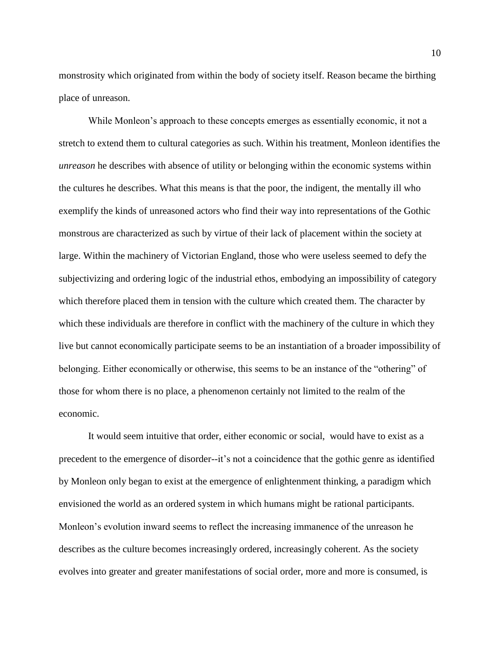monstrosity which originated from within the body of society itself. Reason became the birthing place of unreason.

While Monleon's approach to these concepts emerges as essentially economic, it not a stretch to extend them to cultural categories as such. Within his treatment, Monleon identifies the *unreason* he describes with absence of utility or belonging within the economic systems within the cultures he describes. What this means is that the poor, the indigent, the mentally ill who exemplify the kinds of unreasoned actors who find their way into representations of the Gothic monstrous are characterized as such by virtue of their lack of placement within the society at large. Within the machinery of Victorian England, those who were useless seemed to defy the subjectivizing and ordering logic of the industrial ethos, embodying an impossibility of category which therefore placed them in tension with the culture which created them. The character by which these individuals are therefore in conflict with the machinery of the culture in which they live but cannot economically participate seems to be an instantiation of a broader impossibility of belonging. Either economically or otherwise, this seems to be an instance of the "othering" of those for whom there is no place, a phenomenon certainly not limited to the realm of the economic.

It would seem intuitive that order, either economic or social, would have to exist as a precedent to the emergence of disorder--it's not a coincidence that the gothic genre as identified by Monleon only began to exist at the emergence of enlightenment thinking, a paradigm which envisioned the world as an ordered system in which humans might be rational participants. Monleon's evolution inward seems to reflect the increasing immanence of the unreason he describes as the culture becomes increasingly ordered, increasingly coherent. As the society evolves into greater and greater manifestations of social order, more and more is consumed, is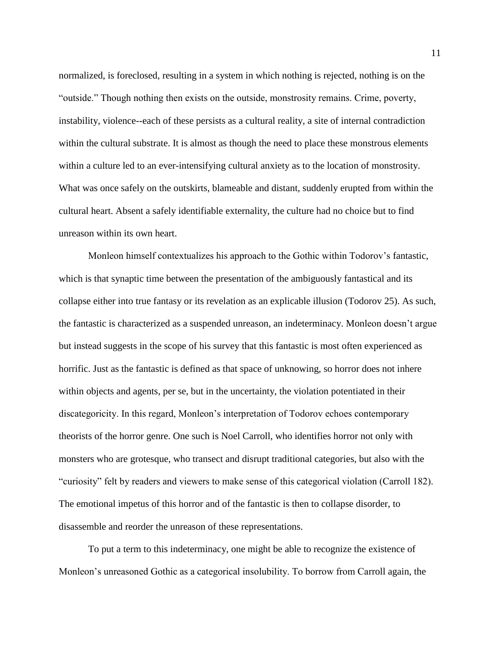normalized, is foreclosed, resulting in a system in which nothing is rejected, nothing is on the "outside." Though nothing then exists on the outside, monstrosity remains. Crime, poverty, instability, violence--each of these persists as a cultural reality, a site of internal contradiction within the cultural substrate. It is almost as though the need to place these monstrous elements within a culture led to an ever-intensifying cultural anxiety as to the location of monstrosity. What was once safely on the outskirts, blameable and distant, suddenly erupted from within the cultural heart. Absent a safely identifiable externality, the culture had no choice but to find unreason within its own heart.

Monleon himself contextualizes his approach to the Gothic within Todorov's fantastic, which is that synaptic time between the presentation of the ambiguously fantastical and its collapse either into true fantasy or its revelation as an explicable illusion (Todorov 25). As such, the fantastic is characterized as a suspended unreason, an indeterminacy. Monleon doesn't argue but instead suggests in the scope of his survey that this fantastic is most often experienced as horrific. Just as the fantastic is defined as that space of unknowing, so horror does not inhere within objects and agents, per se, but in the uncertainty, the violation potentiated in their discategoricity. In this regard, Monleon's interpretation of Todorov echoes contemporary theorists of the horror genre. One such is Noel Carroll, who identifies horror not only with monsters who are grotesque, who transect and disrupt traditional categories, but also with the "curiosity" felt by readers and viewers to make sense of this categorical violation (Carroll 182). The emotional impetus of this horror and of the fantastic is then to collapse disorder, to disassemble and reorder the unreason of these representations.

To put a term to this indeterminacy, one might be able to recognize the existence of Monleon's unreasoned Gothic as a categorical insolubility. To borrow from Carroll again, the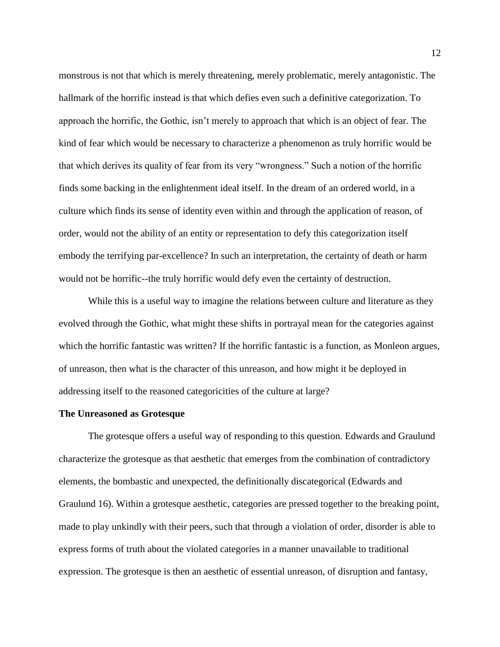monstrous is not that which is merely threatening, merely problematic, merely antagonistic. The hallmark of the horrific instead is that which defies even such a definitive categorization. To approach the horrific, the Gothic, isn't merely to approach that which is an object of fear. The kind of fear which would be necessary to characterize a phenomenon as truly horrific would be that which derives its quality of fear from its very "wrongness." Such a notion of the horrific finds some backing in the enlightenment ideal itself. In the dream of an ordered world, in a culture which finds its sense of identity even within and through the application of reason, of order, would not the ability of an entity or representation to defy this categorization itself embody the terrifying par-excellence? In such an interpretation, the certainty of death or harm would not be horrific--the truly horrific would defy even the certainty of destruction.

While this is a useful way to imagine the relations between culture and literature as they evolved through the Gothic, what might these shifts in portrayal mean for the categories against which the horrific fantastic was written? If the horrific fantastic is a function, as Monleon argues, of unreason, then what is the character of this unreason, and how might it be deployed in addressing itself to the reasoned categoricities of the culture at large?

#### **The Unreasoned as Grotesque**

The grotesque offers a useful way of responding to this question. Edwards and Graulund characterize the grotesque as that aesthetic that emerges from the combination of contradictory elements, the bombastic and unexpected, the definitionally discategorical (Edwards and Graulund 16). Within a grotesque aesthetic, categories are pressed together to the breaking point, made to play unkindly with their peers, such that through a violation of order, disorder is able to express forms of truth about the violated categories in a manner unavailable to traditional expression. The grotesque is then an aesthetic of essential unreason, of disruption and fantasy,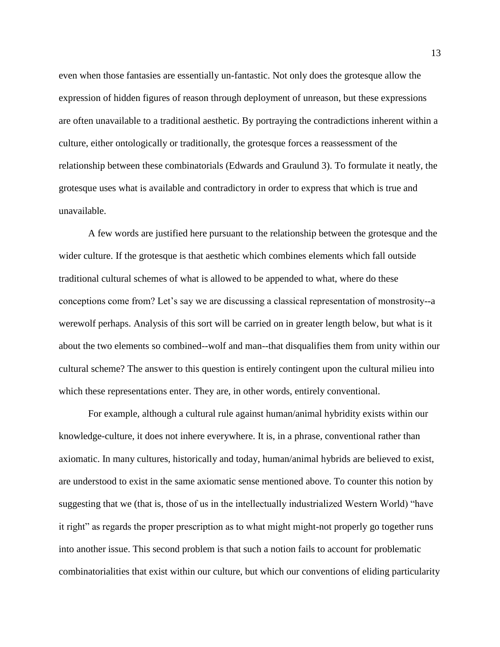even when those fantasies are essentially un-fantastic. Not only does the grotesque allow the expression of hidden figures of reason through deployment of unreason, but these expressions are often unavailable to a traditional aesthetic. By portraying the contradictions inherent within a culture, either ontologically or traditionally, the grotesque forces a reassessment of the relationship between these combinatorials (Edwards and Graulund 3). To formulate it neatly, the grotesque uses what is available and contradictory in order to express that which is true and unavailable.

A few words are justified here pursuant to the relationship between the grotesque and the wider culture. If the grotesque is that aesthetic which combines elements which fall outside traditional cultural schemes of what is allowed to be appended to what, where do these conceptions come from? Let's say we are discussing a classical representation of monstrosity--a werewolf perhaps. Analysis of this sort will be carried on in greater length below, but what is it about the two elements so combined--wolf and man--that disqualifies them from unity within our cultural scheme? The answer to this question is entirely contingent upon the cultural milieu into which these representations enter. They are, in other words, entirely conventional.

For example, although a cultural rule against human/animal hybridity exists within our knowledge-culture, it does not inhere everywhere. It is, in a phrase, conventional rather than axiomatic. In many cultures, historically and today, human/animal hybrids are believed to exist, are understood to exist in the same axiomatic sense mentioned above. To counter this notion by suggesting that we (that is, those of us in the intellectually industrialized Western World) "have it right" as regards the proper prescription as to what might might-not properly go together runs into another issue. This second problem is that such a notion fails to account for problematic combinatorialities that exist within our culture, but which our conventions of eliding particularity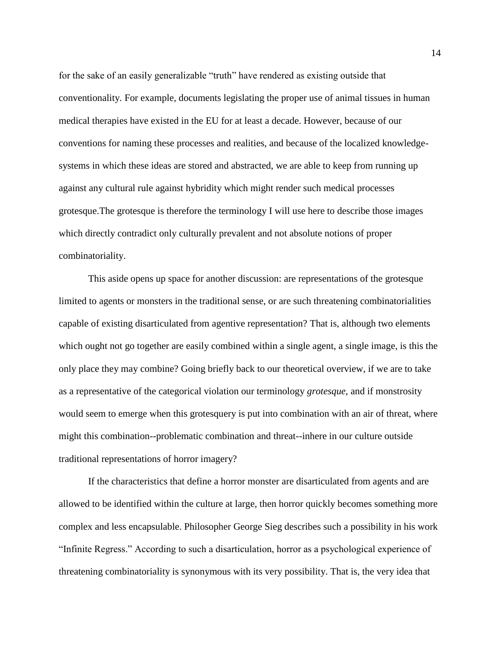for the sake of an easily generalizable "truth" have rendered as existing outside that conventionality. For example, documents legislating the proper use of animal tissues in human medical therapies have existed in the EU for at least a decade. However, because of our conventions for naming these processes and realities, and because of the localized knowledgesystems in which these ideas are stored and abstracted, we are able to keep from running up against any cultural rule against hybridity which might render such medical processes grotesque.The grotesque is therefore the terminology I will use here to describe those images which directly contradict only culturally prevalent and not absolute notions of proper combinatoriality.

This aside opens up space for another discussion: are representations of the grotesque limited to agents or monsters in the traditional sense, or are such threatening combinatorialities capable of existing disarticulated from agentive representation? That is, although two elements which ought not go together are easily combined within a single agent, a single image, is this the only place they may combine? Going briefly back to our theoretical overview, if we are to take as a representative of the categorical violation our terminology *grotesque*, and if monstrosity would seem to emerge when this grotesquery is put into combination with an air of threat, where might this combination--problematic combination and threat--inhere in our culture outside traditional representations of horror imagery?

If the characteristics that define a horror monster are disarticulated from agents and are allowed to be identified within the culture at large, then horror quickly becomes something more complex and less encapsulable. Philosopher George Sieg describes such a possibility in his work "Infinite Regress." According to such a disarticulation, horror as a psychological experience of threatening combinatoriality is synonymous with its very possibility. That is, the very idea that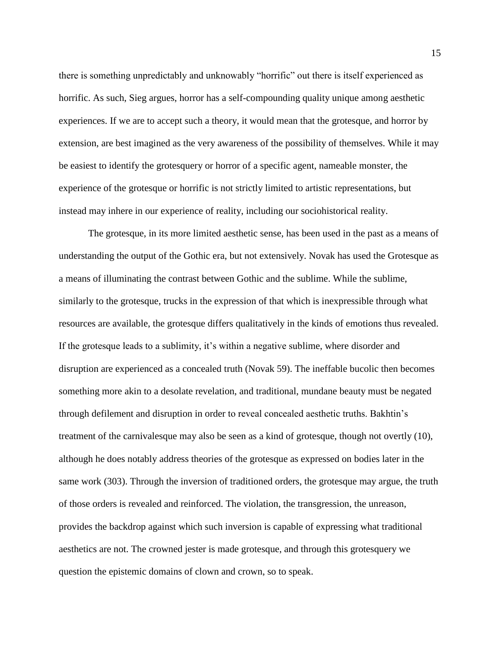there is something unpredictably and unknowably "horrific" out there is itself experienced as horrific. As such, Sieg argues, horror has a self-compounding quality unique among aesthetic experiences. If we are to accept such a theory, it would mean that the grotesque, and horror by extension, are best imagined as the very awareness of the possibility of themselves. While it may be easiest to identify the grotesquery or horror of a specific agent, nameable monster, the experience of the grotesque or horrific is not strictly limited to artistic representations, but instead may inhere in our experience of reality, including our sociohistorical reality.

The grotesque, in its more limited aesthetic sense, has been used in the past as a means of understanding the output of the Gothic era, but not extensively. Novak has used the Grotesque as a means of illuminating the contrast between Gothic and the sublime. While the sublime, similarly to the grotesque, trucks in the expression of that which is inexpressible through what resources are available, the grotesque differs qualitatively in the kinds of emotions thus revealed. If the grotesque leads to a sublimity, it's within a negative sublime, where disorder and disruption are experienced as a concealed truth (Novak 59). The ineffable bucolic then becomes something more akin to a desolate revelation, and traditional, mundane beauty must be negated through defilement and disruption in order to reveal concealed aesthetic truths. Bakhtin's treatment of the carnivalesque may also be seen as a kind of grotesque, though not overtly (10), although he does notably address theories of the grotesque as expressed on bodies later in the same work (303). Through the inversion of traditioned orders, the grotesque may argue, the truth of those orders is revealed and reinforced. The violation, the transgression, the unreason, provides the backdrop against which such inversion is capable of expressing what traditional aesthetics are not. The crowned jester is made grotesque, and through this grotesquery we question the epistemic domains of clown and crown, so to speak.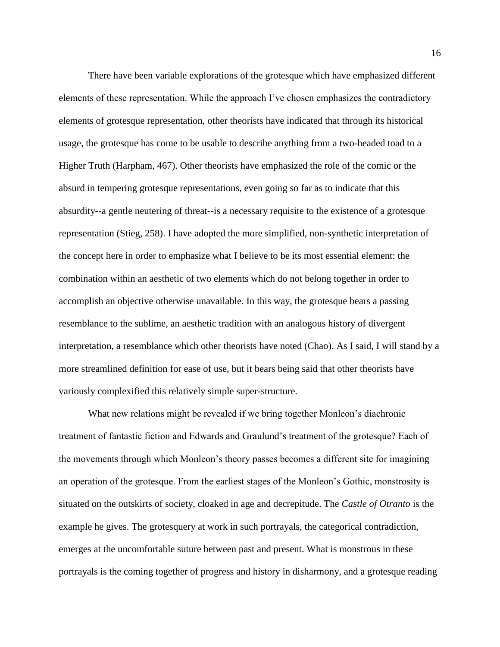There have been variable explorations of the grotesque which have emphasized different elements of these representation. While the approach I've chosen emphasizes the contradictory elements of grotesque representation, other theorists have indicated that through its historical usage, the grotesque has come to be usable to describe anything from a two-headed toad to a Higher Truth (Harpham, 467). Other theorists have emphasized the role of the comic or the absurd in tempering grotesque representations, even going so far as to indicate that this absurdity--a gentle neutering of threat--is a necessary requisite to the existence of a grotesque representation (Stieg, 258). I have adopted the more simplified, non-synthetic interpretation of the concept here in order to emphasize what I believe to be its most essential element: the combination within an aesthetic of two elements which do not belong together in order to accomplish an objective otherwise unavailable. In this way, the grotesque bears a passing resemblance to the sublime, an aesthetic tradition with an analogous history of divergent interpretation, a resemblance which other theorists have noted (Chao). As I said, I will stand by a more streamlined definition for ease of use, but it bears being said that other theorists have variously complexified this relatively simple super-structure.

What new relations might be revealed if we bring together Monleon's diachronic treatment of fantastic fiction and Edwards and Graulund's treatment of the grotesque? Each of the movements through which Monleon's theory passes becomes a different site for imagining an operation of the grotesque. From the earliest stages of the Monleon's Gothic, monstrosity is situated on the outskirts of society, cloaked in age and decrepitude. The *Castle of Otranto* is the example he gives. The grotesquery at work in such portrayals, the categorical contradiction, emerges at the uncomfortable suture between past and present. What is monstrous in these portrayals is the coming together of progress and history in disharmony, and a grotesque reading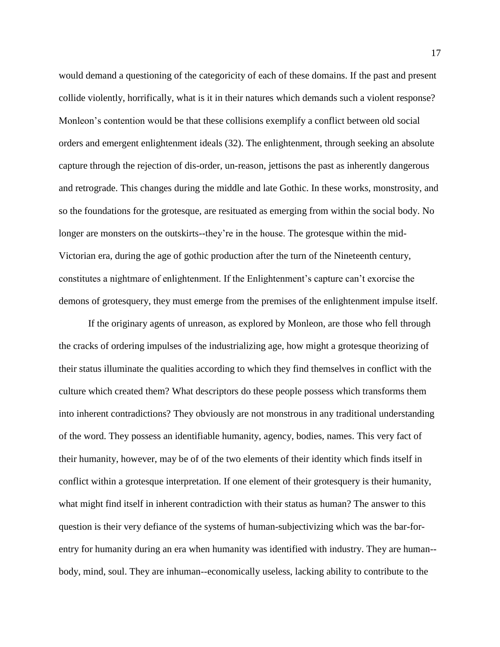would demand a questioning of the categoricity of each of these domains. If the past and present collide violently, horrifically, what is it in their natures which demands such a violent response? Monleon's contention would be that these collisions exemplify a conflict between old social orders and emergent enlightenment ideals (32). The enlightenment, through seeking an absolute capture through the rejection of dis-order, un-reason, jettisons the past as inherently dangerous and retrograde. This changes during the middle and late Gothic. In these works, monstrosity, and so the foundations for the grotesque, are resituated as emerging from within the social body. No longer are monsters on the outskirts--they're in the house. The grotesque within the mid-Victorian era, during the age of gothic production after the turn of the Nineteenth century, constitutes a nightmare of enlightenment. If the Enlightenment's capture can't exorcise the demons of grotesquery, they must emerge from the premises of the enlightenment impulse itself.

If the originary agents of unreason, as explored by Monleon, are those who fell through the cracks of ordering impulses of the industrializing age, how might a grotesque theorizing of their status illuminate the qualities according to which they find themselves in conflict with the culture which created them? What descriptors do these people possess which transforms them into inherent contradictions? They obviously are not monstrous in any traditional understanding of the word. They possess an identifiable humanity, agency, bodies, names. This very fact of their humanity, however, may be of of the two elements of their identity which finds itself in conflict within a grotesque interpretation. If one element of their grotesquery is their humanity, what might find itself in inherent contradiction with their status as human? The answer to this question is their very defiance of the systems of human-subjectivizing which was the bar-forentry for humanity during an era when humanity was identified with industry. They are human- body, mind, soul. They are inhuman--economically useless, lacking ability to contribute to the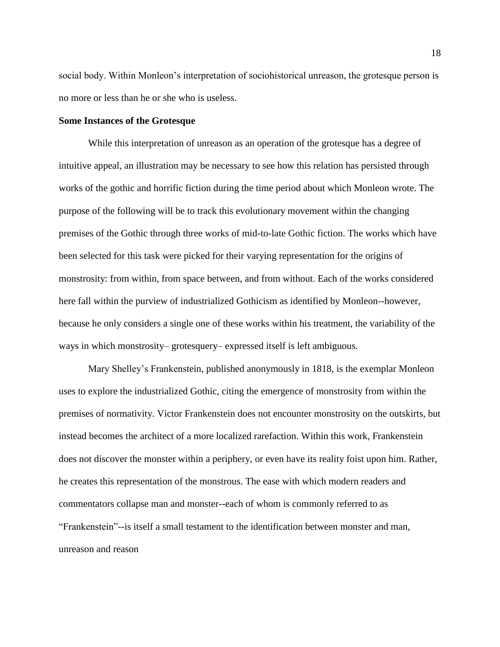social body. Within Monleon's interpretation of sociohistorical unreason, the grotesque person is no more or less than he or she who is useless.

#### **Some Instances of the Grotesque**

While this interpretation of unreason as an operation of the grotesque has a degree of intuitive appeal, an illustration may be necessary to see how this relation has persisted through works of the gothic and horrific fiction during the time period about which Monleon wrote. The purpose of the following will be to track this evolutionary movement within the changing premises of the Gothic through three works of mid-to-late Gothic fiction. The works which have been selected for this task were picked for their varying representation for the origins of monstrosity: from within, from space between, and from without. Each of the works considered here fall within the purview of industrialized Gothicism as identified by Monleon--however, because he only considers a single one of these works within his treatment, the variability of the ways in which monstrosity– grotesquery– expressed itself is left ambiguous.

Mary Shelley's Frankenstein, published anonymously in 1818, is the exemplar Monleon uses to explore the industrialized Gothic, citing the emergence of monstrosity from within the premises of normativity. Victor Frankenstein does not encounter monstrosity on the outskirts, but instead becomes the architect of a more localized rarefaction. Within this work, Frankenstein does not discover the monster within a periphery, or even have its reality foist upon him. Rather, he creates this representation of the monstrous. The ease with which modern readers and commentators collapse man and monster--each of whom is commonly referred to as "Frankenstein"--is itself a small testament to the identification between monster and man, unreason and reason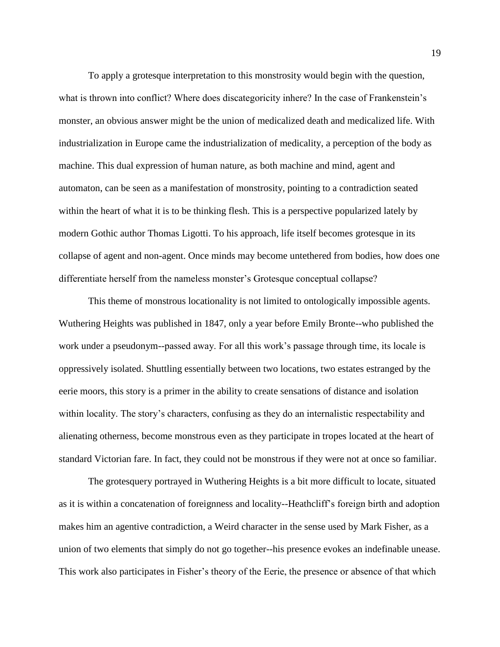To apply a grotesque interpretation to this monstrosity would begin with the question, what is thrown into conflict? Where does discategoricity inhere? In the case of Frankenstein's monster, an obvious answer might be the union of medicalized death and medicalized life. With industrialization in Europe came the industrialization of medicality, a perception of the body as machine. This dual expression of human nature, as both machine and mind, agent and automaton, can be seen as a manifestation of monstrosity, pointing to a contradiction seated within the heart of what it is to be thinking flesh. This is a perspective popularized lately by modern Gothic author Thomas Ligotti. To his approach, life itself becomes grotesque in its collapse of agent and non-agent. Once minds may become untethered from bodies, how does one differentiate herself from the nameless monster's Grotesque conceptual collapse?

This theme of monstrous locationality is not limited to ontologically impossible agents. Wuthering Heights was published in 1847, only a year before Emily Bronte--who published the work under a pseudonym--passed away. For all this work's passage through time, its locale is oppressively isolated. Shuttling essentially between two locations, two estates estranged by the eerie moors, this story is a primer in the ability to create sensations of distance and isolation within locality. The story's characters, confusing as they do an internalistic respectability and alienating otherness, become monstrous even as they participate in tropes located at the heart of standard Victorian fare. In fact, they could not be monstrous if they were not at once so familiar.

The grotesquery portrayed in Wuthering Heights is a bit more difficult to locate, situated as it is within a concatenation of foreignness and locality--Heathcliff's foreign birth and adoption makes him an agentive contradiction, a Weird character in the sense used by Mark Fisher, as a union of two elements that simply do not go together--his presence evokes an indefinable unease. This work also participates in Fisher's theory of the Eerie, the presence or absence of that which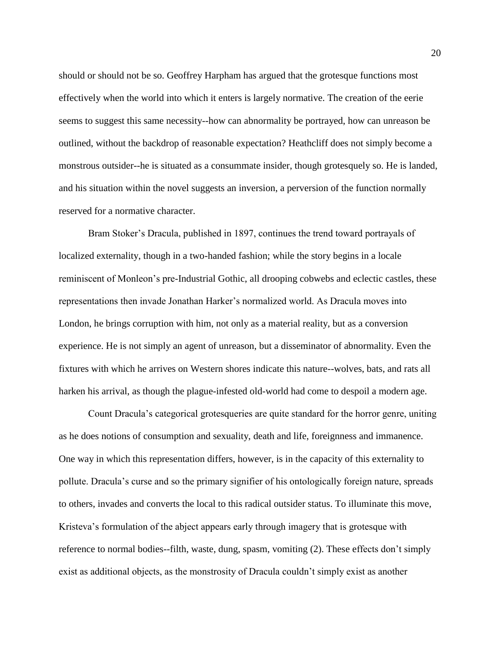should or should not be so. Geoffrey Harpham has argued that the grotesque functions most effectively when the world into which it enters is largely normative. The creation of the eerie seems to suggest this same necessity--how can abnormality be portrayed, how can unreason be outlined, without the backdrop of reasonable expectation? Heathcliff does not simply become a monstrous outsider--he is situated as a consummate insider, though grotesquely so. He is landed, and his situation within the novel suggests an inversion, a perversion of the function normally reserved for a normative character.

Bram Stoker's Dracula, published in 1897, continues the trend toward portrayals of localized externality, though in a two-handed fashion; while the story begins in a locale reminiscent of Monleon's pre-Industrial Gothic, all drooping cobwebs and eclectic castles, these representations then invade Jonathan Harker's normalized world. As Dracula moves into London, he brings corruption with him, not only as a material reality, but as a conversion experience. He is not simply an agent of unreason, but a disseminator of abnormality. Even the fixtures with which he arrives on Western shores indicate this nature--wolves, bats, and rats all harken his arrival, as though the plague-infested old-world had come to despoil a modern age.

Count Dracula's categorical grotesqueries are quite standard for the horror genre, uniting as he does notions of consumption and sexuality, death and life, foreignness and immanence. One way in which this representation differs, however, is in the capacity of this externality to pollute. Dracula's curse and so the primary signifier of his ontologically foreign nature, spreads to others, invades and converts the local to this radical outsider status. To illuminate this move, Kristeva's formulation of the abject appears early through imagery that is grotesque with reference to normal bodies--filth, waste, dung, spasm, vomiting (2). These effects don't simply exist as additional objects, as the monstrosity of Dracula couldn't simply exist as another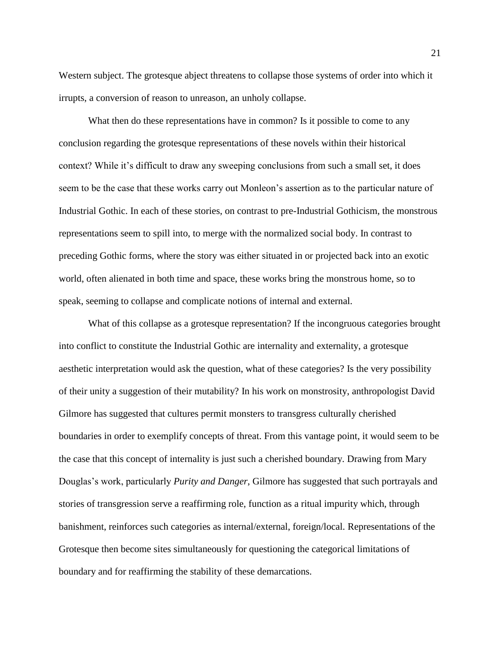Western subject. The grotesque abject threatens to collapse those systems of order into which it irrupts, a conversion of reason to unreason, an unholy collapse.

What then do these representations have in common? Is it possible to come to any conclusion regarding the grotesque representations of these novels within their historical context? While it's difficult to draw any sweeping conclusions from such a small set, it does seem to be the case that these works carry out Monleon's assertion as to the particular nature of Industrial Gothic. In each of these stories, on contrast to pre-Industrial Gothicism, the monstrous representations seem to spill into, to merge with the normalized social body. In contrast to preceding Gothic forms, where the story was either situated in or projected back into an exotic world, often alienated in both time and space, these works bring the monstrous home, so to speak, seeming to collapse and complicate notions of internal and external.

What of this collapse as a grotesque representation? If the incongruous categories brought into conflict to constitute the Industrial Gothic are internality and externality, a grotesque aesthetic interpretation would ask the question, what of these categories? Is the very possibility of their unity a suggestion of their mutability? In his work on monstrosity, anthropologist David Gilmore has suggested that cultures permit monsters to transgress culturally cherished boundaries in order to exemplify concepts of threat. From this vantage point, it would seem to be the case that this concept of internality is just such a cherished boundary. Drawing from Mary Douglas's work, particularly *Purity and Danger*, Gilmore has suggested that such portrayals and stories of transgression serve a reaffirming role, function as a ritual impurity which, through banishment, reinforces such categories as internal/external, foreign/local. Representations of the Grotesque then become sites simultaneously for questioning the categorical limitations of boundary and for reaffirming the stability of these demarcations.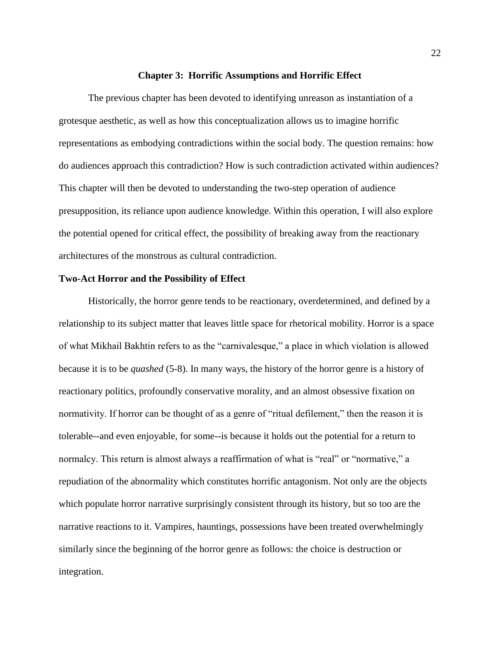#### **Chapter 3: Horrific Assumptions and Horrific Effect**

The previous chapter has been devoted to identifying unreason as instantiation of a grotesque aesthetic, as well as how this conceptualization allows us to imagine horrific representations as embodying contradictions within the social body. The question remains: how do audiences approach this contradiction? How is such contradiction activated within audiences? This chapter will then be devoted to understanding the two-step operation of audience presupposition, its reliance upon audience knowledge. Within this operation, I will also explore the potential opened for critical effect, the possibility of breaking away from the reactionary architectures of the monstrous as cultural contradiction.

#### **Two-Act Horror and the Possibility of Effect**

Historically, the horror genre tends to be reactionary, overdetermined, and defined by a relationship to its subject matter that leaves little space for rhetorical mobility. Horror is a space of what Mikhail Bakhtin refers to as the "carnivalesque," a place in which violation is allowed because it is to be *quashed* (5-8). In many ways, the history of the horror genre is a history of reactionary politics, profoundly conservative morality, and an almost obsessive fixation on normativity. If horror can be thought of as a genre of "ritual defilement," then the reason it is tolerable--and even enjoyable, for some--is because it holds out the potential for a return to normalcy. This return is almost always a reaffirmation of what is "real" or "normative," a repudiation of the abnormality which constitutes horrific antagonism. Not only are the objects which populate horror narrative surprisingly consistent through its history, but so too are the narrative reactions to it. Vampires, hauntings, possessions have been treated overwhelmingly similarly since the beginning of the horror genre as follows: the choice is destruction or integration.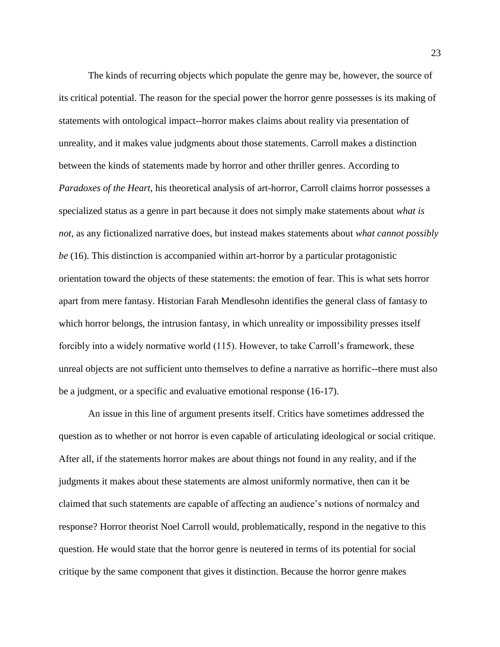The kinds of recurring objects which populate the genre may be, however, the source of its critical potential. The reason for the special power the horror genre possesses is its making of statements with ontological impact--horror makes claims about reality via presentation of unreality, and it makes value judgments about those statements. Carroll makes a distinction between the kinds of statements made by horror and other thriller genres. According to *Paradoxes of the Heart*, his theoretical analysis of art-horror, Carroll claims horror possesses a specialized status as a genre in part because it does not simply make statements about *what is not*, as any fictionalized narrative does, but instead makes statements about *what cannot possibly be* (16). This distinction is accompanied within art-horror by a particular protagonistic orientation toward the objects of these statements: the emotion of fear. This is what sets horror apart from mere fantasy. Historian Farah Mendlesohn identifies the general class of fantasy to which horror belongs, the intrusion fantasy, in which unreality or impossibility presses itself forcibly into a widely normative world (115). However, to take Carroll's framework, these unreal objects are not sufficient unto themselves to define a narrative as horrific--there must also be a judgment, or a specific and evaluative emotional response (16-17).

An issue in this line of argument presents itself. Critics have sometimes addressed the question as to whether or not horror is even capable of articulating ideological or social critique. After all, if the statements horror makes are about things not found in any reality, and if the judgments it makes about these statements are almost uniformly normative, then can it be claimed that such statements are capable of affecting an audience's notions of normalcy and response? Horror theorist Noel Carroll would, problematically, respond in the negative to this question. He would state that the horror genre is neutered in terms of its potential for social critique by the same component that gives it distinction. Because the horror genre makes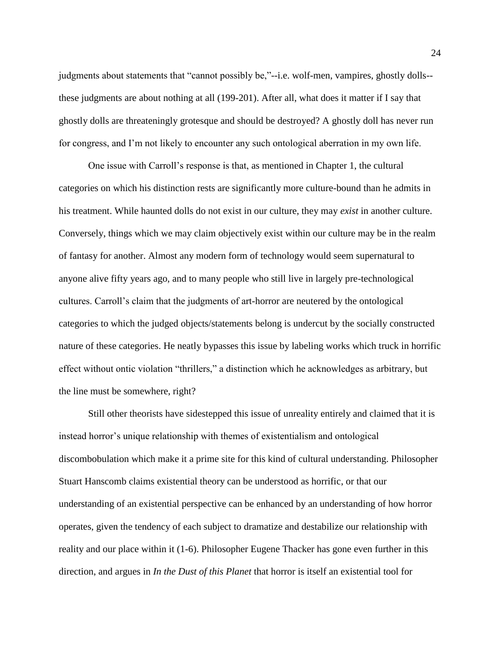judgments about statements that "cannot possibly be,"--i.e. wolf-men, vampires, ghostly dolls- these judgments are about nothing at all (199-201). After all, what does it matter if I say that ghostly dolls are threateningly grotesque and should be destroyed? A ghostly doll has never run for congress, and I'm not likely to encounter any such ontological aberration in my own life.

One issue with Carroll's response is that, as mentioned in Chapter 1, the cultural categories on which his distinction rests are significantly more culture-bound than he admits in his treatment. While haunted dolls do not exist in our culture, they may *exist* in another culture. Conversely, things which we may claim objectively exist within our culture may be in the realm of fantasy for another. Almost any modern form of technology would seem supernatural to anyone alive fifty years ago, and to many people who still live in largely pre-technological cultures. Carroll's claim that the judgments of art-horror are neutered by the ontological categories to which the judged objects/statements belong is undercut by the socially constructed nature of these categories. He neatly bypasses this issue by labeling works which truck in horrific effect without ontic violation "thrillers," a distinction which he acknowledges as arbitrary, but the line must be somewhere, right?

Still other theorists have sidestepped this issue of unreality entirely and claimed that it is instead horror's unique relationship with themes of existentialism and ontological discombobulation which make it a prime site for this kind of cultural understanding. Philosopher Stuart Hanscomb claims existential theory can be understood as horrific, or that our understanding of an existential perspective can be enhanced by an understanding of how horror operates, given the tendency of each subject to dramatize and destabilize our relationship with reality and our place within it (1-6). Philosopher Eugene Thacker has gone even further in this direction, and argues in *In the Dust of this Planet* that horror is itself an existential tool for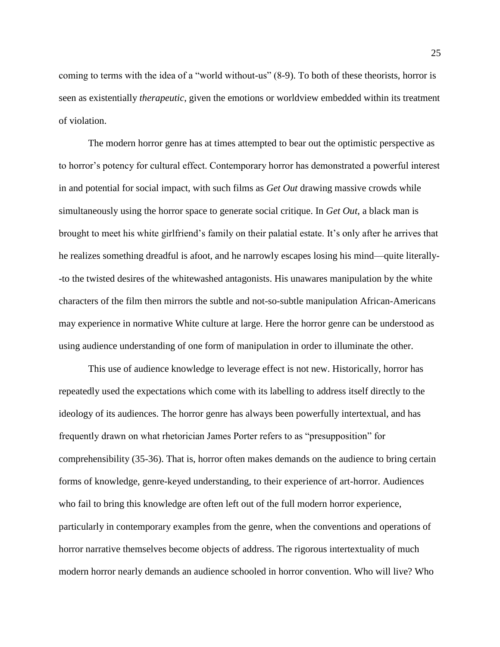coming to terms with the idea of a "world without-us" (8-9). To both of these theorists, horror is seen as existentially *therapeutic*, given the emotions or worldview embedded within its treatment of violation.

The modern horror genre has at times attempted to bear out the optimistic perspective as to horror's potency for cultural effect. Contemporary horror has demonstrated a powerful interest in and potential for social impact, with such films as *Get Out* drawing massive crowds while simultaneously using the horror space to generate social critique. In *Get Out*, a black man is brought to meet his white girlfriend's family on their palatial estate. It's only after he arrives that he realizes something dreadful is afoot, and he narrowly escapes losing his mind—quite literally- -to the twisted desires of the whitewashed antagonists. His unawares manipulation by the white characters of the film then mirrors the subtle and not-so-subtle manipulation African-Americans may experience in normative White culture at large. Here the horror genre can be understood as using audience understanding of one form of manipulation in order to illuminate the other.

This use of audience knowledge to leverage effect is not new. Historically, horror has repeatedly used the expectations which come with its labelling to address itself directly to the ideology of its audiences. The horror genre has always been powerfully intertextual, and has frequently drawn on what rhetorician James Porter refers to as "presupposition" for comprehensibility (35-36). That is, horror often makes demands on the audience to bring certain forms of knowledge, genre-keyed understanding, to their experience of art-horror. Audiences who fail to bring this knowledge are often left out of the full modern horror experience, particularly in contemporary examples from the genre, when the conventions and operations of horror narrative themselves become objects of address. The rigorous intertextuality of much modern horror nearly demands an audience schooled in horror convention. Who will live? Who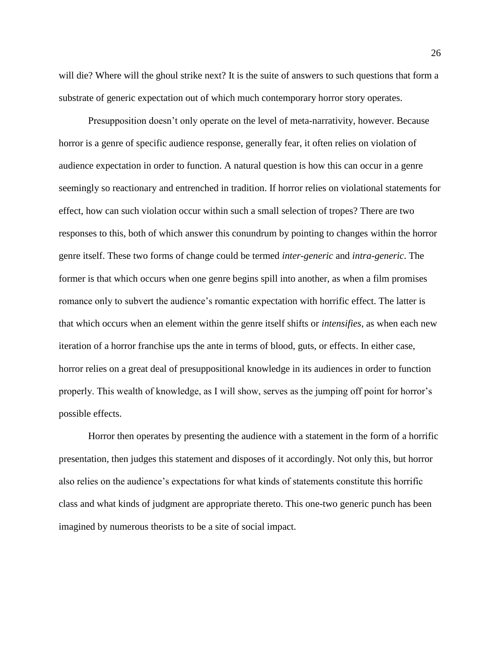will die? Where will the ghoul strike next? It is the suite of answers to such questions that form a substrate of generic expectation out of which much contemporary horror story operates.

Presupposition doesn't only operate on the level of meta-narrativity, however. Because horror is a genre of specific audience response, generally fear, it often relies on violation of audience expectation in order to function. A natural question is how this can occur in a genre seemingly so reactionary and entrenched in tradition. If horror relies on violational statements for effect, how can such violation occur within such a small selection of tropes? There are two responses to this, both of which answer this conundrum by pointing to changes within the horror genre itself. These two forms of change could be termed *inter-generic* and *intra-generic*. The former is that which occurs when one genre begins spill into another, as when a film promises romance only to subvert the audience's romantic expectation with horrific effect. The latter is that which occurs when an element within the genre itself shifts or *intensifies*, as when each new iteration of a horror franchise ups the ante in terms of blood, guts, or effects. In either case, horror relies on a great deal of presuppositional knowledge in its audiences in order to function properly. This wealth of knowledge, as I will show, serves as the jumping off point for horror's possible effects.

Horror then operates by presenting the audience with a statement in the form of a horrific presentation, then judges this statement and disposes of it accordingly. Not only this, but horror also relies on the audience's expectations for what kinds of statements constitute this horrific class and what kinds of judgment are appropriate thereto. This one-two generic punch has been imagined by numerous theorists to be a site of social impact.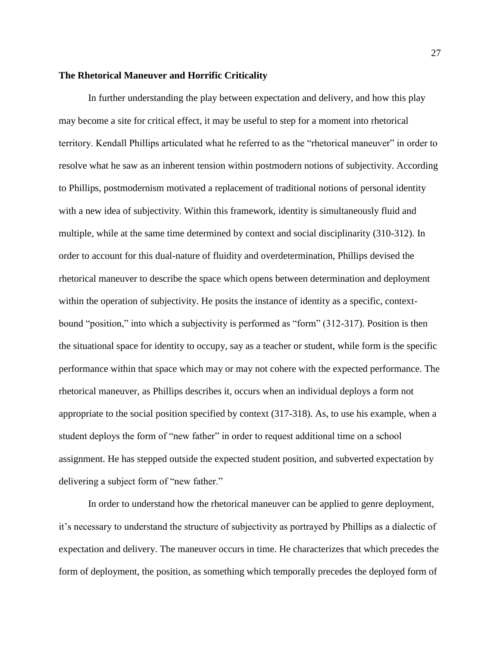#### **The Rhetorical Maneuver and Horrific Criticality**

In further understanding the play between expectation and delivery, and how this play may become a site for critical effect, it may be useful to step for a moment into rhetorical territory. Kendall Phillips articulated what he referred to as the "rhetorical maneuver" in order to resolve what he saw as an inherent tension within postmodern notions of subjectivity. According to Phillips, postmodernism motivated a replacement of traditional notions of personal identity with a new idea of subjectivity. Within this framework, identity is simultaneously fluid and multiple, while at the same time determined by context and social disciplinarity (310-312). In order to account for this dual-nature of fluidity and overdetermination, Phillips devised the rhetorical maneuver to describe the space which opens between determination and deployment within the operation of subjectivity. He posits the instance of identity as a specific, contextbound "position," into which a subjectivity is performed as "form" (312-317). Position is then the situational space for identity to occupy, say as a teacher or student, while form is the specific performance within that space which may or may not cohere with the expected performance. The rhetorical maneuver, as Phillips describes it, occurs when an individual deploys a form not appropriate to the social position specified by context (317-318). As, to use his example, when a student deploys the form of "new father" in order to request additional time on a school assignment. He has stepped outside the expected student position, and subverted expectation by delivering a subject form of "new father."

In order to understand how the rhetorical maneuver can be applied to genre deployment, it's necessary to understand the structure of subjectivity as portrayed by Phillips as a dialectic of expectation and delivery. The maneuver occurs in time. He characterizes that which precedes the form of deployment, the position, as something which temporally precedes the deployed form of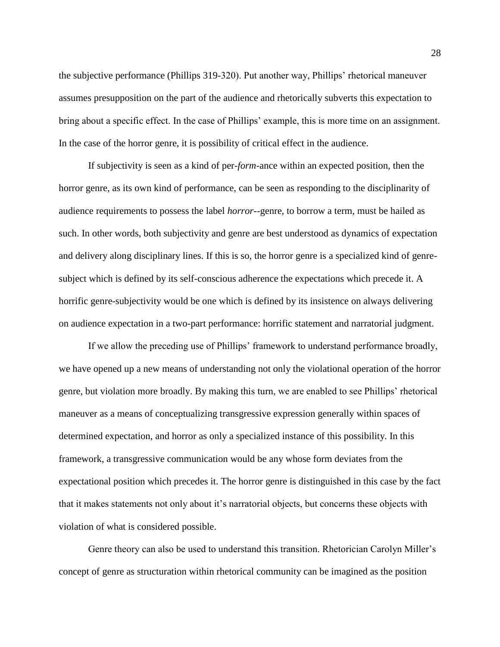the subjective performance (Phillips 319-320). Put another way, Phillips' rhetorical maneuver assumes presupposition on the part of the audience and rhetorically subverts this expectation to bring about a specific effect. In the case of Phillips' example, this is more time on an assignment. In the case of the horror genre, it is possibility of critical effect in the audience.

If subjectivity is seen as a kind of per-*form*-ance within an expected position, then the horror genre, as its own kind of performance, can be seen as responding to the disciplinarity of audience requirements to possess the label *horror*--genre, to borrow a term, must be hailed as such. In other words, both subjectivity and genre are best understood as dynamics of expectation and delivery along disciplinary lines. If this is so, the horror genre is a specialized kind of genresubject which is defined by its self-conscious adherence the expectations which precede it. A horrific genre-subjectivity would be one which is defined by its insistence on always delivering on audience expectation in a two-part performance: horrific statement and narratorial judgment.

If we allow the preceding use of Phillips' framework to understand performance broadly, we have opened up a new means of understanding not only the violational operation of the horror genre, but violation more broadly. By making this turn, we are enabled to see Phillips' rhetorical maneuver as a means of conceptualizing transgressive expression generally within spaces of determined expectation, and horror as only a specialized instance of this possibility. In this framework, a transgressive communication would be any whose form deviates from the expectational position which precedes it. The horror genre is distinguished in this case by the fact that it makes statements not only about it's narratorial objects, but concerns these objects with violation of what is considered possible.

Genre theory can also be used to understand this transition. Rhetorician Carolyn Miller's concept of genre as structuration within rhetorical community can be imagined as the position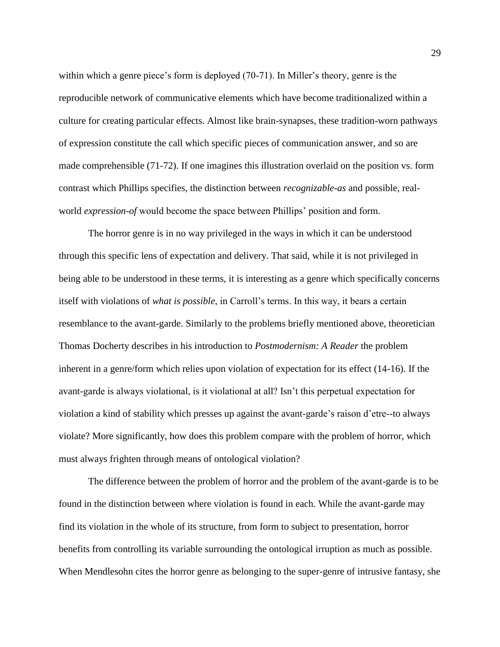within which a genre piece's form is deployed (70-71). In Miller's theory, genre is the reproducible network of communicative elements which have become traditionalized within a culture for creating particular effects. Almost like brain-synapses, these tradition-worn pathways of expression constitute the call which specific pieces of communication answer, and so are made comprehensible (71-72). If one imagines this illustration overlaid on the position vs. form contrast which Phillips specifies, the distinction between *recognizable-as* and possible, realworld *expression-of* would become the space between Phillips' position and form.

The horror genre is in no way privileged in the ways in which it can be understood through this specific lens of expectation and delivery. That said, while it is not privileged in being able to be understood in these terms, it is interesting as a genre which specifically concerns itself with violations of *what is possible*, in Carroll's terms. In this way, it bears a certain resemblance to the avant-garde. Similarly to the problems briefly mentioned above, theoretician Thomas Docherty describes in his introduction to *Postmodernism: A Reader* the problem inherent in a genre/form which relies upon violation of expectation for its effect (14-16). If the avant-garde is always violational, is it violational at all? Isn't this perpetual expectation for violation a kind of stability which presses up against the avant-garde's raison d'etre--to always violate? More significantly, how does this problem compare with the problem of horror, which must always frighten through means of ontological violation?

The difference between the problem of horror and the problem of the avant-garde is to be found in the distinction between where violation is found in each. While the avant-garde may find its violation in the whole of its structure, from form to subject to presentation, horror benefits from controlling its variable surrounding the ontological irruption as much as possible. When Mendlesohn cites the horror genre as belonging to the super-genre of intrusive fantasy, she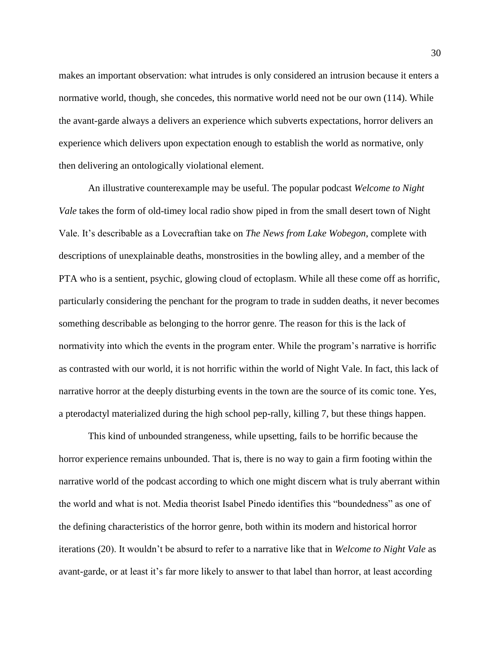makes an important observation: what intrudes is only considered an intrusion because it enters a normative world, though, she concedes, this normative world need not be our own (114). While the avant-garde always a delivers an experience which subverts expectations, horror delivers an experience which delivers upon expectation enough to establish the world as normative, only then delivering an ontologically violational element.

An illustrative counterexample may be useful. The popular podcast *Welcome to Night Vale* takes the form of old-timey local radio show piped in from the small desert town of Night Vale. It's describable as a Lovecraftian take on *The News from Lake Wobegon*, complete with descriptions of unexplainable deaths, monstrosities in the bowling alley, and a member of the PTA who is a sentient, psychic, glowing cloud of ectoplasm. While all these come off as horrific, particularly considering the penchant for the program to trade in sudden deaths, it never becomes something describable as belonging to the horror genre. The reason for this is the lack of normativity into which the events in the program enter. While the program's narrative is horrific as contrasted with our world, it is not horrific within the world of Night Vale. In fact, this lack of narrative horror at the deeply disturbing events in the town are the source of its comic tone. Yes, a pterodactyl materialized during the high school pep-rally, killing 7, but these things happen.

This kind of unbounded strangeness, while upsetting, fails to be horrific because the horror experience remains unbounded. That is, there is no way to gain a firm footing within the narrative world of the podcast according to which one might discern what is truly aberrant within the world and what is not. Media theorist Isabel Pinedo identifies this "boundedness" as one of the defining characteristics of the horror genre, both within its modern and historical horror iterations (20). It wouldn't be absurd to refer to a narrative like that in *Welcome to Night Vale* as avant-garde, or at least it's far more likely to answer to that label than horror, at least according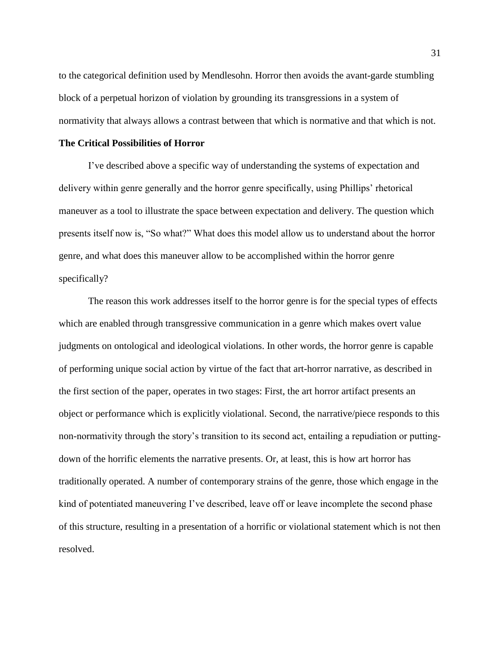to the categorical definition used by Mendlesohn. Horror then avoids the avant-garde stumbling block of a perpetual horizon of violation by grounding its transgressions in a system of normativity that always allows a contrast between that which is normative and that which is not.

#### **The Critical Possibilities of Horror**

I've described above a specific way of understanding the systems of expectation and delivery within genre generally and the horror genre specifically, using Phillips' rhetorical maneuver as a tool to illustrate the space between expectation and delivery. The question which presents itself now is, "So what?" What does this model allow us to understand about the horror genre, and what does this maneuver allow to be accomplished within the horror genre specifically?

The reason this work addresses itself to the horror genre is for the special types of effects which are enabled through transgressive communication in a genre which makes overt value judgments on ontological and ideological violations. In other words, the horror genre is capable of performing unique social action by virtue of the fact that art-horror narrative, as described in the first section of the paper, operates in two stages: First, the art horror artifact presents an object or performance which is explicitly violational. Second, the narrative/piece responds to this non-normativity through the story's transition to its second act, entailing a repudiation or puttingdown of the horrific elements the narrative presents. Or, at least, this is how art horror has traditionally operated. A number of contemporary strains of the genre, those which engage in the kind of potentiated maneuvering I've described, leave off or leave incomplete the second phase of this structure, resulting in a presentation of a horrific or violational statement which is not then resolved.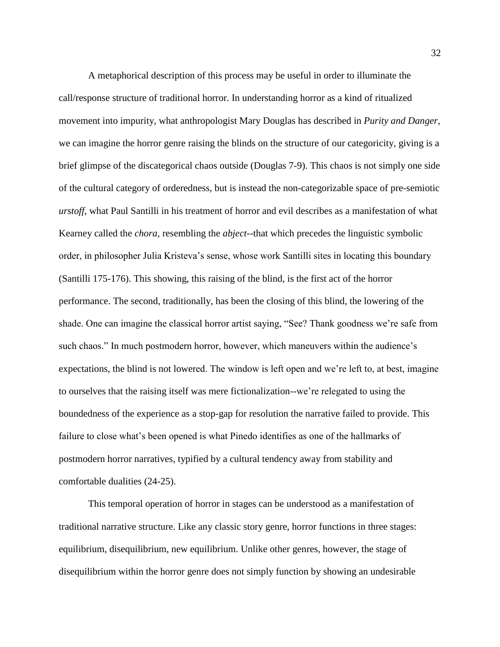A metaphorical description of this process may be useful in order to illuminate the call/response structure of traditional horror. In understanding horror as a kind of ritualized movement into impurity, what anthropologist Mary Douglas has described in *Purity and Danger*, we can imagine the horror genre raising the blinds on the structure of our categoricity, giving is a brief glimpse of the discategorical chaos outside (Douglas 7-9). This chaos is not simply one side of the cultural category of orderedness, but is instead the non-categorizable space of pre-semiotic *urstoff*, what Paul Santilli in his treatment of horror and evil describes as a manifestation of what Kearney called the *chora,* resembling the *abject*--that which precedes the linguistic symbolic order, in philosopher Julia Kristeva's sense, whose work Santilli sites in locating this boundary (Santilli 175-176). This showing, this raising of the blind, is the first act of the horror performance. The second, traditionally, has been the closing of this blind, the lowering of the shade. One can imagine the classical horror artist saying, "See? Thank goodness we're safe from such chaos." In much postmodern horror, however, which maneuvers within the audience's expectations, the blind is not lowered. The window is left open and we're left to, at best, imagine to ourselves that the raising itself was mere fictionalization--we're relegated to using the boundedness of the experience as a stop-gap for resolution the narrative failed to provide. This failure to close what's been opened is what Pinedo identifies as one of the hallmarks of postmodern horror narratives, typified by a cultural tendency away from stability and comfortable dualities (24-25).

This temporal operation of horror in stages can be understood as a manifestation of traditional narrative structure. Like any classic story genre, horror functions in three stages: equilibrium, disequilibrium, new equilibrium. Unlike other genres, however, the stage of disequilibrium within the horror genre does not simply function by showing an undesirable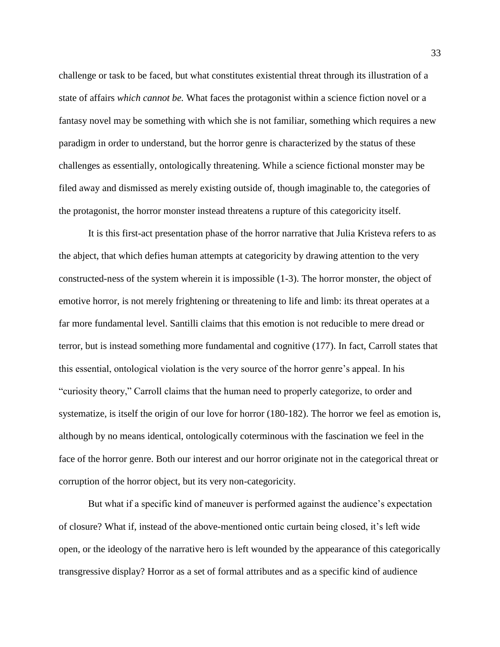challenge or task to be faced, but what constitutes existential threat through its illustration of a state of affairs *which cannot be.* What faces the protagonist within a science fiction novel or a fantasy novel may be something with which she is not familiar, something which requires a new paradigm in order to understand, but the horror genre is characterized by the status of these challenges as essentially, ontologically threatening. While a science fictional monster may be filed away and dismissed as merely existing outside of, though imaginable to, the categories of the protagonist, the horror monster instead threatens a rupture of this categoricity itself.

It is this first-act presentation phase of the horror narrative that Julia Kristeva refers to as the abject, that which defies human attempts at categoricity by drawing attention to the very constructed-ness of the system wherein it is impossible (1-3). The horror monster, the object of emotive horror, is not merely frightening or threatening to life and limb: its threat operates at a far more fundamental level. Santilli claims that this emotion is not reducible to mere dread or terror, but is instead something more fundamental and cognitive (177). In fact, Carroll states that this essential, ontological violation is the very source of the horror genre's appeal. In his "curiosity theory," Carroll claims that the human need to properly categorize, to order and systematize, is itself the origin of our love for horror (180-182). The horror we feel as emotion is, although by no means identical, ontologically coterminous with the fascination we feel in the face of the horror genre. Both our interest and our horror originate not in the categorical threat or corruption of the horror object, but its very non-categoricity.

But what if a specific kind of maneuver is performed against the audience's expectation of closure? What if, instead of the above-mentioned ontic curtain being closed, it's left wide open, or the ideology of the narrative hero is left wounded by the appearance of this categorically transgressive display? Horror as a set of formal attributes and as a specific kind of audience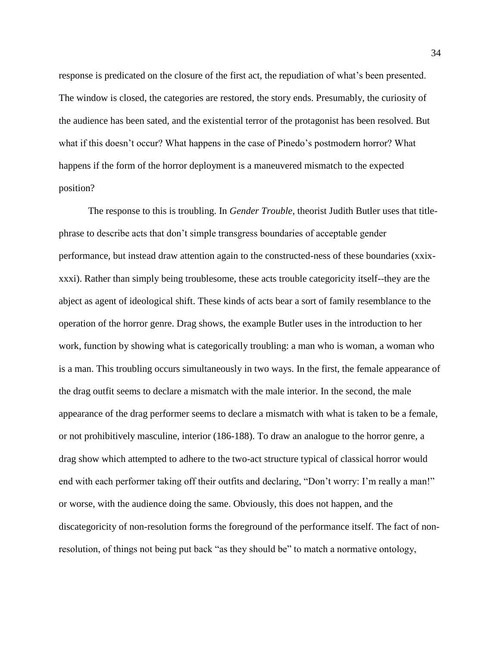response is predicated on the closure of the first act, the repudiation of what's been presented. The window is closed, the categories are restored, the story ends. Presumably, the curiosity of the audience has been sated, and the existential terror of the protagonist has been resolved. But what if this doesn't occur? What happens in the case of Pinedo's postmodern horror? What happens if the form of the horror deployment is a maneuvered mismatch to the expected position?

The response to this is troubling. In *Gender Trouble*, theorist Judith Butler uses that titlephrase to describe acts that don't simple transgress boundaries of acceptable gender performance, but instead draw attention again to the constructed-ness of these boundaries (xxixxxxi). Rather than simply being troublesome, these acts trouble categoricity itself--they are the abject as agent of ideological shift. These kinds of acts bear a sort of family resemblance to the operation of the horror genre. Drag shows, the example Butler uses in the introduction to her work, function by showing what is categorically troubling: a man who is woman, a woman who is a man. This troubling occurs simultaneously in two ways. In the first, the female appearance of the drag outfit seems to declare a mismatch with the male interior. In the second, the male appearance of the drag performer seems to declare a mismatch with what is taken to be a female, or not prohibitively masculine, interior (186-188). To draw an analogue to the horror genre, a drag show which attempted to adhere to the two-act structure typical of classical horror would end with each performer taking off their outfits and declaring, "Don't worry: I'm really a man!" or worse, with the audience doing the same. Obviously, this does not happen, and the discategoricity of non-resolution forms the foreground of the performance itself. The fact of nonresolution, of things not being put back "as they should be" to match a normative ontology,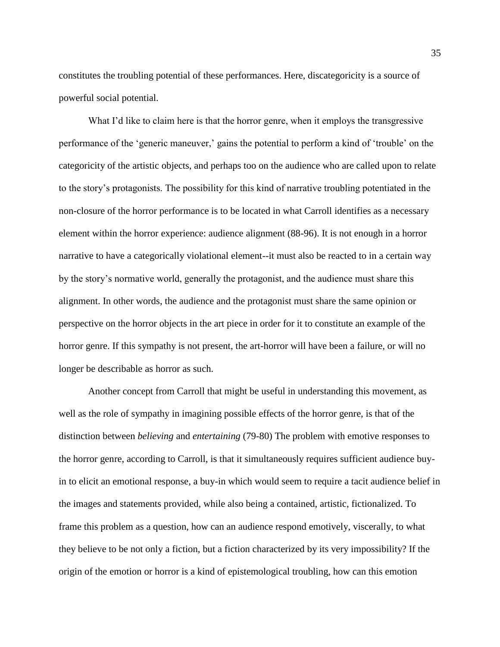constitutes the troubling potential of these performances. Here, discategoricity is a source of powerful social potential.

What I'd like to claim here is that the horror genre, when it employs the transgressive performance of the 'generic maneuver,' gains the potential to perform a kind of 'trouble' on the categoricity of the artistic objects, and perhaps too on the audience who are called upon to relate to the story's protagonists. The possibility for this kind of narrative troubling potentiated in the non-closure of the horror performance is to be located in what Carroll identifies as a necessary element within the horror experience: audience alignment (88-96). It is not enough in a horror narrative to have a categorically violational element--it must also be reacted to in a certain way by the story's normative world, generally the protagonist, and the audience must share this alignment. In other words, the audience and the protagonist must share the same opinion or perspective on the horror objects in the art piece in order for it to constitute an example of the horror genre. If this sympathy is not present, the art-horror will have been a failure, or will no longer be describable as horror as such.

Another concept from Carroll that might be useful in understanding this movement, as well as the role of sympathy in imagining possible effects of the horror genre, is that of the distinction between *believing* and *entertaining* (79-80) The problem with emotive responses to the horror genre, according to Carroll, is that it simultaneously requires sufficient audience buyin to elicit an emotional response, a buy-in which would seem to require a tacit audience belief in the images and statements provided, while also being a contained, artistic, fictionalized. To frame this problem as a question, how can an audience respond emotively, viscerally, to what they believe to be not only a fiction, but a fiction characterized by its very impossibility? If the origin of the emotion or horror is a kind of epistemological troubling, how can this emotion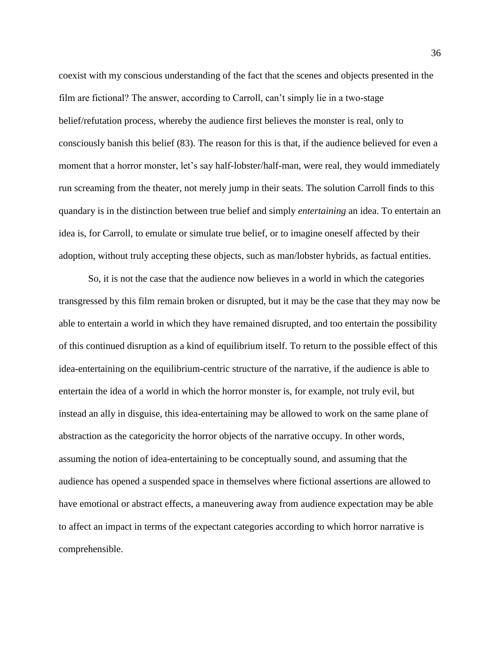coexist with my conscious understanding of the fact that the scenes and objects presented in the film are fictional? The answer, according to Carroll, can't simply lie in a two-stage belief/refutation process, whereby the audience first believes the monster is real, only to consciously banish this belief (83). The reason for this is that, if the audience believed for even a moment that a horror monster, let's say half-lobster/half-man, were real, they would immediately run screaming from the theater, not merely jump in their seats. The solution Carroll finds to this quandary is in the distinction between true belief and simply *entertaining* an idea. To entertain an idea is, for Carroll, to emulate or simulate true belief, or to imagine oneself affected by their adoption, without truly accepting these objects, such as man/lobster hybrids, as factual entities.

So, it is not the case that the audience now believes in a world in which the categories transgressed by this film remain broken or disrupted, but it may be the case that they may now be able to entertain a world in which they have remained disrupted, and too entertain the possibility of this continued disruption as a kind of equilibrium itself. To return to the possible effect of this idea-entertaining on the equilibrium-centric structure of the narrative, if the audience is able to entertain the idea of a world in which the horror monster is, for example, not truly evil, but instead an ally in disguise, this idea-entertaining may be allowed to work on the same plane of abstraction as the categoricity the horror objects of the narrative occupy. In other words, assuming the notion of idea-entertaining to be conceptually sound, and assuming that the audience has opened a suspended space in themselves where fictional assertions are allowed to have emotional or abstract effects, a maneuvering away from audience expectation may be able to affect an impact in terms of the expectant categories according to which horror narrative is comprehensible.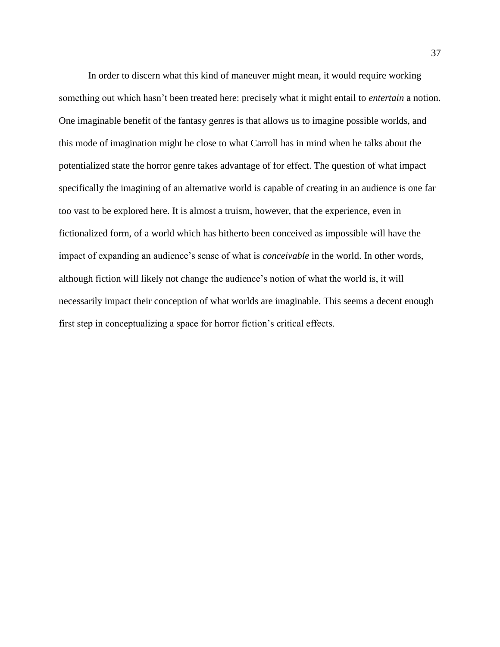In order to discern what this kind of maneuver might mean, it would require working something out which hasn't been treated here: precisely what it might entail to *entertain* a notion. One imaginable benefit of the fantasy genres is that allows us to imagine possible worlds, and this mode of imagination might be close to what Carroll has in mind when he talks about the potentialized state the horror genre takes advantage of for effect. The question of what impact specifically the imagining of an alternative world is capable of creating in an audience is one far too vast to be explored here. It is almost a truism, however, that the experience, even in fictionalized form, of a world which has hitherto been conceived as impossible will have the impact of expanding an audience's sense of what is *conceivable* in the world. In other words, although fiction will likely not change the audience's notion of what the world is, it will necessarily impact their conception of what worlds are imaginable. This seems a decent enough first step in conceptualizing a space for horror fiction's critical effects.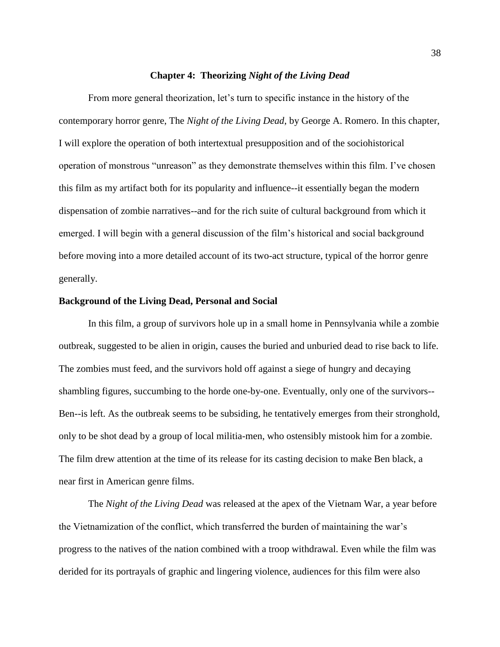#### **Chapter 4: Theorizing** *Night of the Living Dead*

From more general theorization, let's turn to specific instance in the history of the contemporary horror genre, The *Night of the Living Dead*, by George A. Romero. In this chapter, I will explore the operation of both intertextual presupposition and of the sociohistorical operation of monstrous "unreason" as they demonstrate themselves within this film. I've chosen this film as my artifact both for its popularity and influence--it essentially began the modern dispensation of zombie narratives--and for the rich suite of cultural background from which it emerged. I will begin with a general discussion of the film's historical and social background before moving into a more detailed account of its two-act structure, typical of the horror genre generally.

#### **Background of the Living Dead, Personal and Social**

In this film, a group of survivors hole up in a small home in Pennsylvania while a zombie outbreak, suggested to be alien in origin, causes the buried and unburied dead to rise back to life. The zombies must feed, and the survivors hold off against a siege of hungry and decaying shambling figures, succumbing to the horde one-by-one. Eventually, only one of the survivors-- Ben--is left. As the outbreak seems to be subsiding, he tentatively emerges from their stronghold, only to be shot dead by a group of local militia-men, who ostensibly mistook him for a zombie. The film drew attention at the time of its release for its casting decision to make Ben black, a near first in American genre films.

The *Night of the Living Dead* was released at the apex of the Vietnam War, a year before the Vietnamization of the conflict, which transferred the burden of maintaining the war's progress to the natives of the nation combined with a troop withdrawal. Even while the film was derided for its portrayals of graphic and lingering violence, audiences for this film were also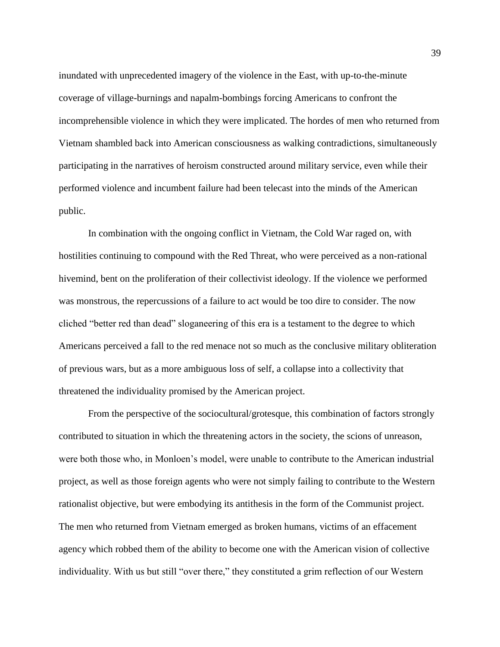inundated with unprecedented imagery of the violence in the East, with up-to-the-minute coverage of village-burnings and napalm-bombings forcing Americans to confront the incomprehensible violence in which they were implicated. The hordes of men who returned from Vietnam shambled back into American consciousness as walking contradictions, simultaneously participating in the narratives of heroism constructed around military service, even while their performed violence and incumbent failure had been telecast into the minds of the American public.

In combination with the ongoing conflict in Vietnam, the Cold War raged on, with hostilities continuing to compound with the Red Threat, who were perceived as a non-rational hivemind, bent on the proliferation of their collectivist ideology. If the violence we performed was monstrous, the repercussions of a failure to act would be too dire to consider. The now cliched "better red than dead" sloganeering of this era is a testament to the degree to which Americans perceived a fall to the red menace not so much as the conclusive military obliteration of previous wars, but as a more ambiguous loss of self, a collapse into a collectivity that threatened the individuality promised by the American project.

From the perspective of the sociocultural/grotesque, this combination of factors strongly contributed to situation in which the threatening actors in the society, the scions of unreason, were both those who, in Monloen's model, were unable to contribute to the American industrial project, as well as those foreign agents who were not simply failing to contribute to the Western rationalist objective, but were embodying its antithesis in the form of the Communist project. The men who returned from Vietnam emerged as broken humans, victims of an effacement agency which robbed them of the ability to become one with the American vision of collective individuality. With us but still "over there," they constituted a grim reflection of our Western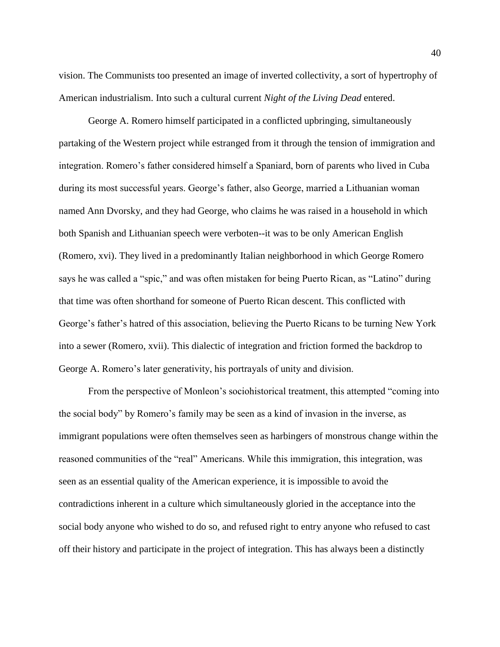vision. The Communists too presented an image of inverted collectivity, a sort of hypertrophy of American industrialism. Into such a cultural current *Night of the Living Dead* entered.

George A. Romero himself participated in a conflicted upbringing, simultaneously partaking of the Western project while estranged from it through the tension of immigration and integration. Romero's father considered himself a Spaniard, born of parents who lived in Cuba during its most successful years. George's father, also George, married a Lithuanian woman named Ann Dvorsky, and they had George, who claims he was raised in a household in which both Spanish and Lithuanian speech were verboten--it was to be only American English (Romero, xvi). They lived in a predominantly Italian neighborhood in which George Romero says he was called a "spic," and was often mistaken for being Puerto Rican, as "Latino" during that time was often shorthand for someone of Puerto Rican descent. This conflicted with George's father's hatred of this association, believing the Puerto Ricans to be turning New York into a sewer (Romero, xvii). This dialectic of integration and friction formed the backdrop to George A. Romero's later generativity, his portrayals of unity and division.

From the perspective of Monleon's sociohistorical treatment, this attempted "coming into the social body" by Romero's family may be seen as a kind of invasion in the inverse, as immigrant populations were often themselves seen as harbingers of monstrous change within the reasoned communities of the "real" Americans. While this immigration, this integration, was seen as an essential quality of the American experience, it is impossible to avoid the contradictions inherent in a culture which simultaneously gloried in the acceptance into the social body anyone who wished to do so, and refused right to entry anyone who refused to cast off their history and participate in the project of integration. This has always been a distinctly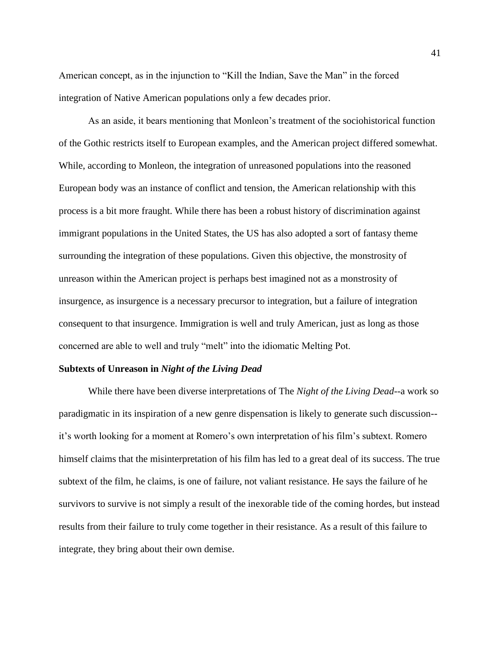American concept, as in the injunction to "Kill the Indian, Save the Man" in the forced integration of Native American populations only a few decades prior.

As an aside, it bears mentioning that Monleon's treatment of the sociohistorical function of the Gothic restricts itself to European examples, and the American project differed somewhat. While, according to Monleon, the integration of unreasoned populations into the reasoned European body was an instance of conflict and tension, the American relationship with this process is a bit more fraught. While there has been a robust history of discrimination against immigrant populations in the United States, the US has also adopted a sort of fantasy theme surrounding the integration of these populations. Given this objective, the monstrosity of unreason within the American project is perhaps best imagined not as a monstrosity of insurgence, as insurgence is a necessary precursor to integration, but a failure of integration consequent to that insurgence. Immigration is well and truly American, just as long as those concerned are able to well and truly "melt" into the idiomatic Melting Pot.

#### **Subtexts of Unreason in** *Night of the Living Dead*

While there have been diverse interpretations of The *Night of the Living Dead*--a work so paradigmatic in its inspiration of a new genre dispensation is likely to generate such discussion- it's worth looking for a moment at Romero's own interpretation of his film's subtext. Romero himself claims that the misinterpretation of his film has led to a great deal of its success. The true subtext of the film, he claims, is one of failure, not valiant resistance. He says the failure of he survivors to survive is not simply a result of the inexorable tide of the coming hordes, but instead results from their failure to truly come together in their resistance. As a result of this failure to integrate, they bring about their own demise.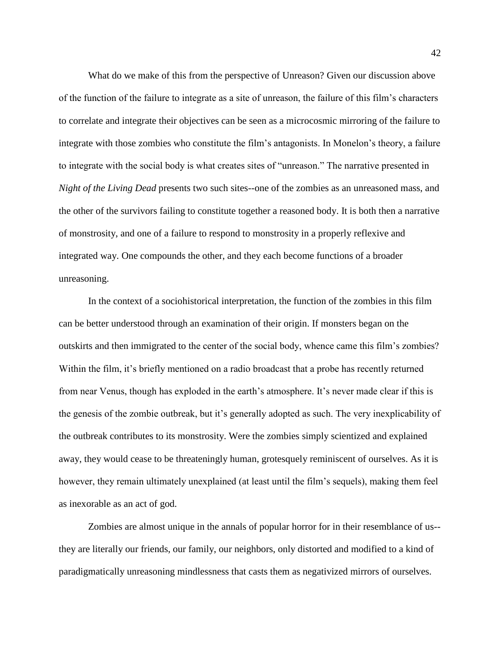What do we make of this from the perspective of Unreason? Given our discussion above of the function of the failure to integrate as a site of unreason, the failure of this film's characters to correlate and integrate their objectives can be seen as a microcosmic mirroring of the failure to integrate with those zombies who constitute the film's antagonists. In Monelon's theory, a failure to integrate with the social body is what creates sites of "unreason." The narrative presented in *Night of the Living Dead* presents two such sites--one of the zombies as an unreasoned mass, and the other of the survivors failing to constitute together a reasoned body. It is both then a narrative of monstrosity, and one of a failure to respond to monstrosity in a properly reflexive and integrated way. One compounds the other, and they each become functions of a broader unreasoning.

In the context of a sociohistorical interpretation, the function of the zombies in this film can be better understood through an examination of their origin. If monsters began on the outskirts and then immigrated to the center of the social body, whence came this film's zombies? Within the film, it's briefly mentioned on a radio broadcast that a probe has recently returned from near Venus, though has exploded in the earth's atmosphere. It's never made clear if this is the genesis of the zombie outbreak, but it's generally adopted as such. The very inexplicability of the outbreak contributes to its monstrosity. Were the zombies simply scientized and explained away, they would cease to be threateningly human, grotesquely reminiscent of ourselves. As it is however, they remain ultimately unexplained (at least until the film's sequels), making them feel as inexorable as an act of god.

Zombies are almost unique in the annals of popular horror for in their resemblance of us- they are literally our friends, our family, our neighbors, only distorted and modified to a kind of paradigmatically unreasoning mindlessness that casts them as negativized mirrors of ourselves.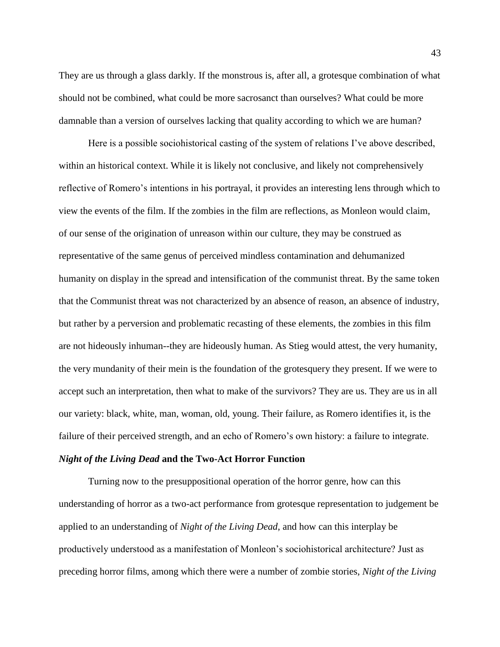They are us through a glass darkly. If the monstrous is, after all, a grotesque combination of what should not be combined, what could be more sacrosanct than ourselves? What could be more damnable than a version of ourselves lacking that quality according to which we are human?

Here is a possible sociohistorical casting of the system of relations I've above described, within an historical context. While it is likely not conclusive, and likely not comprehensively reflective of Romero's intentions in his portrayal, it provides an interesting lens through which to view the events of the film. If the zombies in the film are reflections, as Monleon would claim, of our sense of the origination of unreason within our culture, they may be construed as representative of the same genus of perceived mindless contamination and dehumanized humanity on display in the spread and intensification of the communist threat. By the same token that the Communist threat was not characterized by an absence of reason, an absence of industry, but rather by a perversion and problematic recasting of these elements, the zombies in this film are not hideously inhuman--they are hideously human. As Stieg would attest, the very humanity, the very mundanity of their mein is the foundation of the grotesquery they present. If we were to accept such an interpretation, then what to make of the survivors? They are us. They are us in all our variety: black, white, man, woman, old, young. Their failure, as Romero identifies it, is the failure of their perceived strength, and an echo of Romero's own history: a failure to integrate.

#### *Night of the Living Dead* **and the Two-Act Horror Function**

Turning now to the presuppositional operation of the horror genre, how can this understanding of horror as a two-act performance from grotesque representation to judgement be applied to an understanding of *Night of the Living Dead*, and how can this interplay be productively understood as a manifestation of Monleon's sociohistorical architecture? Just as preceding horror films, among which there were a number of zombie stories, *Night of the Living*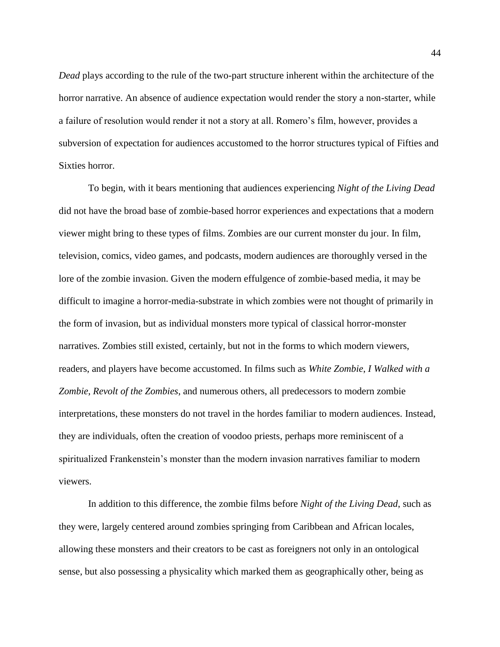*Dead* plays according to the rule of the two-part structure inherent within the architecture of the horror narrative. An absence of audience expectation would render the story a non-starter, while a failure of resolution would render it not a story at all. Romero's film, however, provides a subversion of expectation for audiences accustomed to the horror structures typical of Fifties and Sixties horror.

To begin, with it bears mentioning that audiences experiencing *Night of the Living Dead* did not have the broad base of zombie-based horror experiences and expectations that a modern viewer might bring to these types of films. Zombies are our current monster du jour. In film, television, comics, video games, and podcasts, modern audiences are thoroughly versed in the lore of the zombie invasion. Given the modern effulgence of zombie-based media, it may be difficult to imagine a horror-media-substrate in which zombies were not thought of primarily in the form of invasion, but as individual monsters more typical of classical horror-monster narratives. Zombies still existed, certainly, but not in the forms to which modern viewers, readers, and players have become accustomed. In films such as *White Zombie*, *I Walked with a Zombie*, *Revolt of the Zombies*, and numerous others, all predecessors to modern zombie interpretations, these monsters do not travel in the hordes familiar to modern audiences. Instead, they are individuals, often the creation of voodoo priests, perhaps more reminiscent of a spiritualized Frankenstein's monster than the modern invasion narratives familiar to modern viewers.

In addition to this difference, the zombie films before *Night of the Living Dead*, such as they were, largely centered around zombies springing from Caribbean and African locales, allowing these monsters and their creators to be cast as foreigners not only in an ontological sense, but also possessing a physicality which marked them as geographically other, being as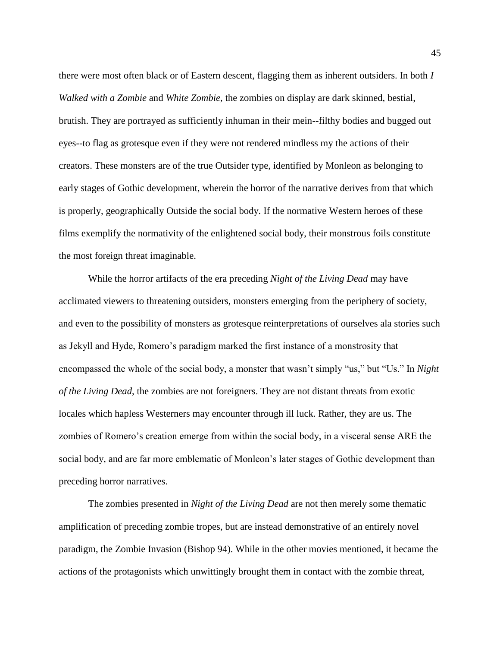there were most often black or of Eastern descent, flagging them as inherent outsiders. In both *I Walked with a Zombie* and *White Zombie*, the zombies on display are dark skinned, bestial, brutish. They are portrayed as sufficiently inhuman in their mein--filthy bodies and bugged out eyes--to flag as grotesque even if they were not rendered mindless my the actions of their creators. These monsters are of the true Outsider type, identified by Monleon as belonging to early stages of Gothic development, wherein the horror of the narrative derives from that which is properly, geographically Outside the social body. If the normative Western heroes of these films exemplify the normativity of the enlightened social body, their monstrous foils constitute the most foreign threat imaginable.

While the horror artifacts of the era preceding *Night of the Living Dead* may have acclimated viewers to threatening outsiders, monsters emerging from the periphery of society, and even to the possibility of monsters as grotesque reinterpretations of ourselves ala stories such as Jekyll and Hyde, Romero's paradigm marked the first instance of a monstrosity that encompassed the whole of the social body, a monster that wasn't simply "us," but "Us." In *Night of the Living Dead*, the zombies are not foreigners. They are not distant threats from exotic locales which hapless Westerners may encounter through ill luck. Rather, they are us. The zombies of Romero's creation emerge from within the social body, in a visceral sense ARE the social body, and are far more emblematic of Monleon's later stages of Gothic development than preceding horror narratives.

The zombies presented in *Night of the Living Dead* are not then merely some thematic amplification of preceding zombie tropes, but are instead demonstrative of an entirely novel paradigm, the Zombie Invasion (Bishop 94). While in the other movies mentioned, it became the actions of the protagonists which unwittingly brought them in contact with the zombie threat,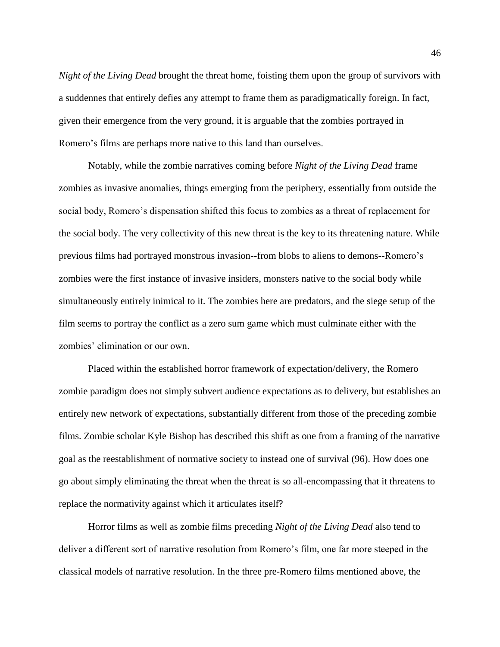*Night of the Living Dead* brought the threat home, foisting them upon the group of survivors with a suddennes that entirely defies any attempt to frame them as paradigmatically foreign. In fact, given their emergence from the very ground, it is arguable that the zombies portrayed in Romero's films are perhaps more native to this land than ourselves.

Notably, while the zombie narratives coming before *Night of the Living Dead* frame zombies as invasive anomalies, things emerging from the periphery, essentially from outside the social body, Romero's dispensation shifted this focus to zombies as a threat of replacement for the social body. The very collectivity of this new threat is the key to its threatening nature. While previous films had portrayed monstrous invasion--from blobs to aliens to demons--Romero's zombies were the first instance of invasive insiders, monsters native to the social body while simultaneously entirely inimical to it. The zombies here are predators, and the siege setup of the film seems to portray the conflict as a zero sum game which must culminate either with the zombies' elimination or our own.

Placed within the established horror framework of expectation/delivery, the Romero zombie paradigm does not simply subvert audience expectations as to delivery, but establishes an entirely new network of expectations, substantially different from those of the preceding zombie films. Zombie scholar Kyle Bishop has described this shift as one from a framing of the narrative goal as the reestablishment of normative society to instead one of survival (96). How does one go about simply eliminating the threat when the threat is so all-encompassing that it threatens to replace the normativity against which it articulates itself?

Horror films as well as zombie films preceding *Night of the Living Dead* also tend to deliver a different sort of narrative resolution from Romero's film, one far more steeped in the classical models of narrative resolution. In the three pre-Romero films mentioned above, the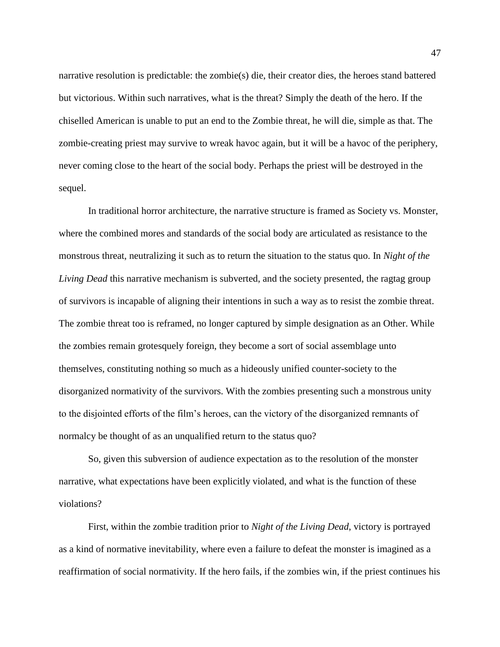narrative resolution is predictable: the zombie(s) die, their creator dies, the heroes stand battered but victorious. Within such narratives, what is the threat? Simply the death of the hero. If the chiselled American is unable to put an end to the Zombie threat, he will die, simple as that. The zombie-creating priest may survive to wreak havoc again, but it will be a havoc of the periphery, never coming close to the heart of the social body. Perhaps the priest will be destroyed in the sequel.

In traditional horror architecture, the narrative structure is framed as Society vs. Monster, where the combined mores and standards of the social body are articulated as resistance to the monstrous threat, neutralizing it such as to return the situation to the status quo. In *Night of the Living Dead* this narrative mechanism is subverted, and the society presented, the ragtag group of survivors is incapable of aligning their intentions in such a way as to resist the zombie threat. The zombie threat too is reframed, no longer captured by simple designation as an Other. While the zombies remain grotesquely foreign, they become a sort of social assemblage unto themselves, constituting nothing so much as a hideously unified counter-society to the disorganized normativity of the survivors. With the zombies presenting such a monstrous unity to the disjointed efforts of the film's heroes, can the victory of the disorganized remnants of normalcy be thought of as an unqualified return to the status quo?

So, given this subversion of audience expectation as to the resolution of the monster narrative, what expectations have been explicitly violated, and what is the function of these violations?

First, within the zombie tradition prior to *Night of the Living Dead*, victory is portrayed as a kind of normative inevitability, where even a failure to defeat the monster is imagined as a reaffirmation of social normativity. If the hero fails, if the zombies win, if the priest continues his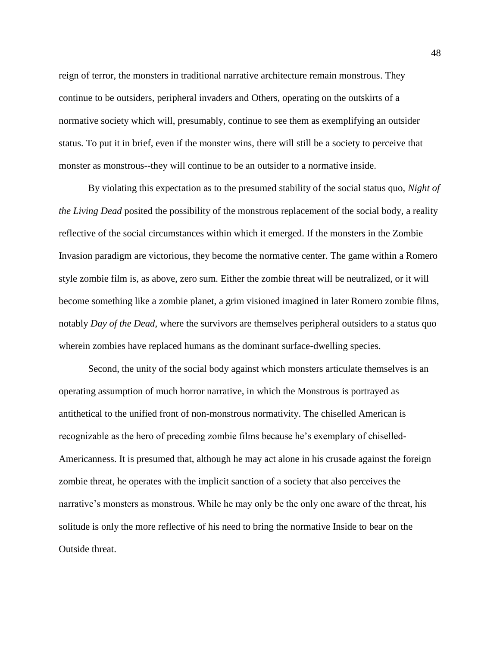reign of terror, the monsters in traditional narrative architecture remain monstrous. They continue to be outsiders, peripheral invaders and Others, operating on the outskirts of a normative society which will, presumably, continue to see them as exemplifying an outsider status. To put it in brief, even if the monster wins, there will still be a society to perceive that monster as monstrous--they will continue to be an outsider to a normative inside.

By violating this expectation as to the presumed stability of the social status quo, *Night of the Living Dead* posited the possibility of the monstrous replacement of the social body, a reality reflective of the social circumstances within which it emerged. If the monsters in the Zombie Invasion paradigm are victorious, they become the normative center. The game within a Romero style zombie film is, as above, zero sum. Either the zombie threat will be neutralized, or it will become something like a zombie planet, a grim visioned imagined in later Romero zombie films, notably *Day of the Dead*, where the survivors are themselves peripheral outsiders to a status quo wherein zombies have replaced humans as the dominant surface-dwelling species.

Second, the unity of the social body against which monsters articulate themselves is an operating assumption of much horror narrative, in which the Monstrous is portrayed as antithetical to the unified front of non-monstrous normativity. The chiselled American is recognizable as the hero of preceding zombie films because he's exemplary of chiselled-Americanness. It is presumed that, although he may act alone in his crusade against the foreign zombie threat, he operates with the implicit sanction of a society that also perceives the narrative's monsters as monstrous. While he may only be the only one aware of the threat, his solitude is only the more reflective of his need to bring the normative Inside to bear on the Outside threat.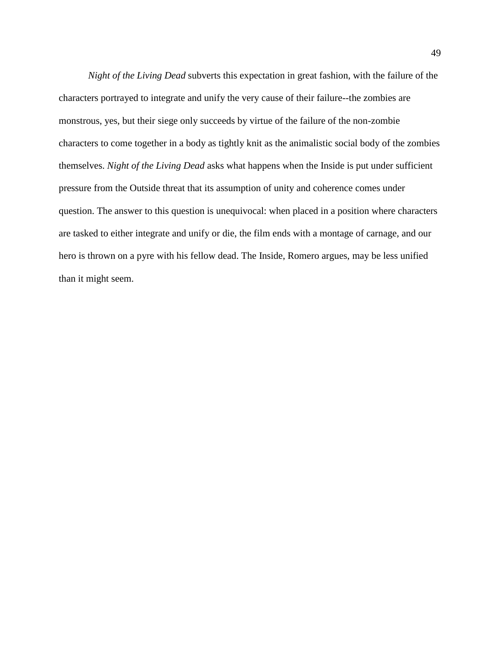*Night of the Living Dead* subverts this expectation in great fashion, with the failure of the characters portrayed to integrate and unify the very cause of their failure--the zombies are monstrous, yes, but their siege only succeeds by virtue of the failure of the non-zombie characters to come together in a body as tightly knit as the animalistic social body of the zombies themselves. *Night of the Living Dead* asks what happens when the Inside is put under sufficient pressure from the Outside threat that its assumption of unity and coherence comes under question. The answer to this question is unequivocal: when placed in a position where characters are tasked to either integrate and unify or die, the film ends with a montage of carnage, and our hero is thrown on a pyre with his fellow dead. The Inside, Romero argues, may be less unified than it might seem.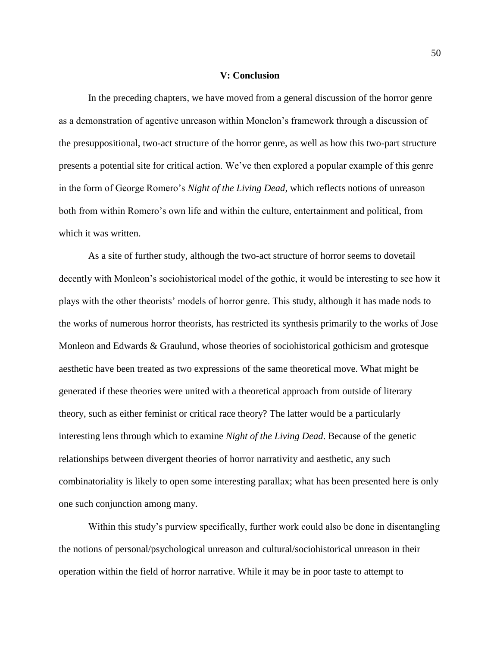#### **V: Conclusion**

In the preceding chapters, we have moved from a general discussion of the horror genre as a demonstration of agentive unreason within Monelon's framework through a discussion of the presuppositional, two-act structure of the horror genre, as well as how this two-part structure presents a potential site for critical action. We've then explored a popular example of this genre in the form of George Romero's *Night of the Living Dead*, which reflects notions of unreason both from within Romero's own life and within the culture, entertainment and political, from which it was written.

As a site of further study, although the two-act structure of horror seems to dovetail decently with Monleon's sociohistorical model of the gothic, it would be interesting to see how it plays with the other theorists' models of horror genre. This study, although it has made nods to the works of numerous horror theorists, has restricted its synthesis primarily to the works of Jose Monleon and Edwards & Graulund, whose theories of sociohistorical gothicism and grotesque aesthetic have been treated as two expressions of the same theoretical move. What might be generated if these theories were united with a theoretical approach from outside of literary theory, such as either feminist or critical race theory? The latter would be a particularly interesting lens through which to examine *Night of the Living Dead*. Because of the genetic relationships between divergent theories of horror narrativity and aesthetic, any such combinatoriality is likely to open some interesting parallax; what has been presented here is only one such conjunction among many.

Within this study's purview specifically, further work could also be done in disentangling the notions of personal/psychological unreason and cultural/sociohistorical unreason in their operation within the field of horror narrative. While it may be in poor taste to attempt to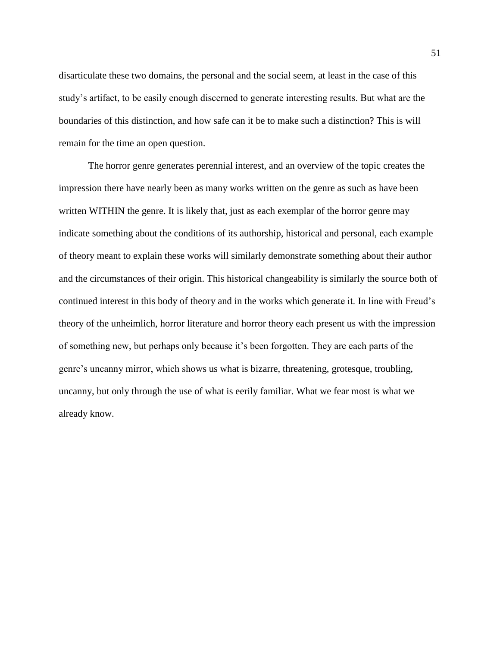disarticulate these two domains, the personal and the social seem, at least in the case of this study's artifact, to be easily enough discerned to generate interesting results. But what are the boundaries of this distinction, and how safe can it be to make such a distinction? This is will remain for the time an open question.

The horror genre generates perennial interest, and an overview of the topic creates the impression there have nearly been as many works written on the genre as such as have been written WITHIN the genre. It is likely that, just as each exemplar of the horror genre may indicate something about the conditions of its authorship, historical and personal, each example of theory meant to explain these works will similarly demonstrate something about their author and the circumstances of their origin. This historical changeability is similarly the source both of continued interest in this body of theory and in the works which generate it. In line with Freud's theory of the unheimlich, horror literature and horror theory each present us with the impression of something new, but perhaps only because it's been forgotten. They are each parts of the genre's uncanny mirror, which shows us what is bizarre, threatening, grotesque, troubling, uncanny, but only through the use of what is eerily familiar. What we fear most is what we already know.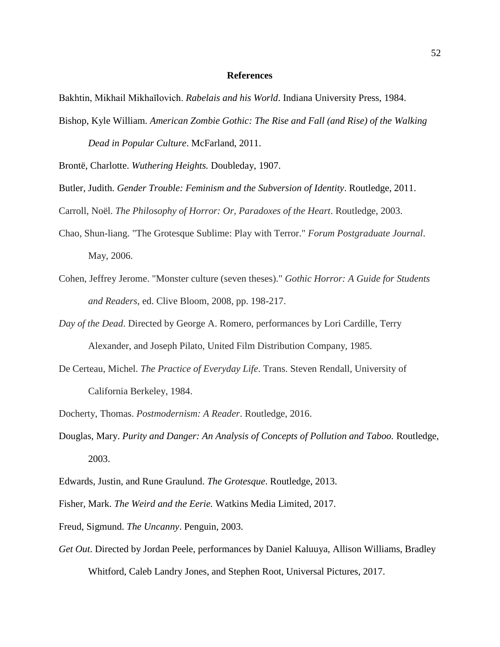#### **References**

Bakhtin, Mikhail Mikhaĭlovich. *Rabelais and his World*. Indiana University Press, 1984.

Bishop, Kyle William. *American Zombie Gothic: The Rise and Fall (and Rise) of the Walking* 

*Dead in Popular Culture*. McFarland, 2011.

Brontë, Charlotte. *Wuthering Heights.* Doubleday, 1907.

Butler, Judith. *Gender Trouble: Feminism and the Subversion of Identity*. Routledge, 2011.

Carroll, Noël. *The Philosophy of Horror: Or, Paradoxes of the Heart*. Routledge, 2003.

- Chao, Shun-liang. "The Grotesque Sublime: Play with Terror." *Forum Postgraduate Journal*. May, 2006.
- Cohen, Jeffrey Jerome. "Monster culture (seven theses)." *Gothic Horror: A Guide for Students and Readers*, ed. Clive Bloom, 2008, pp. 198-217.
- *Day of the Dead*. Directed by George A. Romero, performances by Lori Cardille, Terry Alexander, and Joseph Pilato, United Film Distribution Company, 1985.
- De Certeau, Michel. *The Practice of Everyday Life*. Trans. Steven Rendall, University of California Berkeley, 1984.
- Docherty, Thomas. *Postmodernism: A Reader*. Routledge, 2016.
- Douglas, Mary. *Purity and Danger: An Analysis of Concepts of Pollution and Taboo.* Routledge, 2003.
- Edwards, Justin, and Rune Graulund. *The Grotesque*. Routledge, 2013.
- Fisher, Mark. *The Weird and the Eerie.* Watkins Media Limited, 2017.
- Freud, Sigmund. *The Uncanny*. Penguin, 2003.
- *Get Out*. Directed by Jordan Peele, performances by Daniel Kaluuya, Allison Williams, Bradley Whitford, Caleb Landry Jones, and Stephen Root, Universal Pictures, 2017.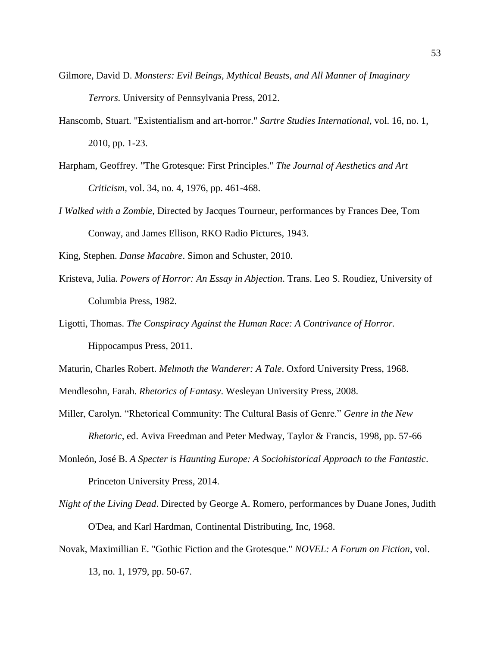- Gilmore, David D. *Monsters: Evil Beings, Mythical Beasts, and All Manner of Imaginary Terrors.* University of Pennsylvania Press, 2012.
- Hanscomb, Stuart. "Existentialism and art-horror." *Sartre Studies International*, vol. 16, no. 1, 2010, pp. 1-23.
- Harpham, Geoffrey. "The Grotesque: First Principles." *The Journal of Aesthetics and Art Criticism,* vol. 34, no. 4, 1976, pp. 461-468.
- *I Walked with a Zombie*, Directed by Jacques Tourneur, performances by Frances Dee, Tom Conway, and James Ellison, RKO Radio Pictures, 1943.

King, Stephen. *Danse Macabre*. Simon and Schuster, 2010.

- Kristeva, Julia. *Powers of Horror: An Essay in Abjection*. Trans. Leo S. Roudiez, University of Columbia Press, 1982.
- Ligotti, Thomas. *The Conspiracy Against the Human Race: A Contrivance of Horror.*  Hippocampus Press, 2011.

Maturin, Charles Robert. *Melmoth the Wanderer: A Tale*. Oxford University Press, 1968.

Mendlesohn, Farah. *Rhetorics of Fantasy*. Wesleyan University Press, 2008.

- Miller, Carolyn. "Rhetorical Community: The Cultural Basis of Genre." *Genre in the New Rhetoric*, ed. Aviva Freedman and Peter Medway, Taylor & Francis, 1998, pp. 57-66
- Monleón, José B. *A Specter is Haunting Europe: A Sociohistorical Approach to the Fantastic*. Princeton University Press, 2014.
- *Night of the Living Dead*. Directed by George A. Romero, performances by Duane Jones, Judith O'Dea, and Karl Hardman, Continental Distributing, Inc, 1968.
- Novak, Maximillian E. "Gothic Fiction and the Grotesque." *NOVEL: A Forum on Fiction*, vol. 13, no. 1, 1979, pp. 50-67.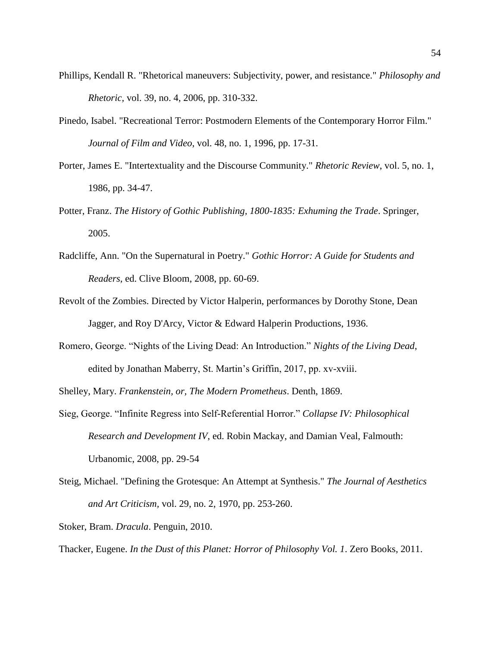- Phillips, Kendall R. "Rhetorical maneuvers: Subjectivity, power, and resistance." *Philosophy and Rhetoric,* vol. 39, no. 4, 2006, pp. 310-332.
- Pinedo, Isabel. "Recreational Terror: Postmodern Elements of the Contemporary Horror Film." *Journal of Film and Video*, vol. 48, no. 1, 1996, pp. 17-31.
- Porter, James E. "Intertextuality and the Discourse Community." *Rhetoric Review*, vol. 5, no. 1, 1986, pp. 34-47.
- Potter, Franz. *The History of Gothic Publishing, 1800-1835: Exhuming the Trade*. Springer, 2005.
- Radcliffe, Ann. "On the Supernatural in Poetry." *Gothic Horror: A Guide for Students and Readers,* ed. Clive Bloom, 2008, pp. 60-69.
- Revolt of the Zombies. Directed by Victor Halperin, performances by Dorothy Stone, Dean Jagger, and Roy D'Arcy, Victor & Edward Halperin Productions, 1936.
- Romero, George. "Nights of the Living Dead: An Introduction." *Nights of the Living Dead*, edited by Jonathan Maberry, St. Martin's Griffin, 2017, pp. xv-xviii.

Shelley, Mary. *Frankenstein, or, The Modern Prometheus*. Denth, 1869.

- Sieg, George. "Infinite Regress into Self-Referential Horror." *Collapse IV: Philosophical Research and Development IV*, ed. Robin Mackay, and Damian Veal, Falmouth: Urbanomic, 2008, pp. 29-54
- Steig, Michael. "Defining the Grotesque: An Attempt at Synthesis." *The Journal of Aesthetics and Art Criticism,* vol. 29, no. 2, 1970, pp. 253-260.

Stoker, Bram. *Dracula*. Penguin, 2010.

Thacker, Eugene. *In the Dust of this Planet: Horror of Philosophy Vol. 1*. Zero Books, 2011.